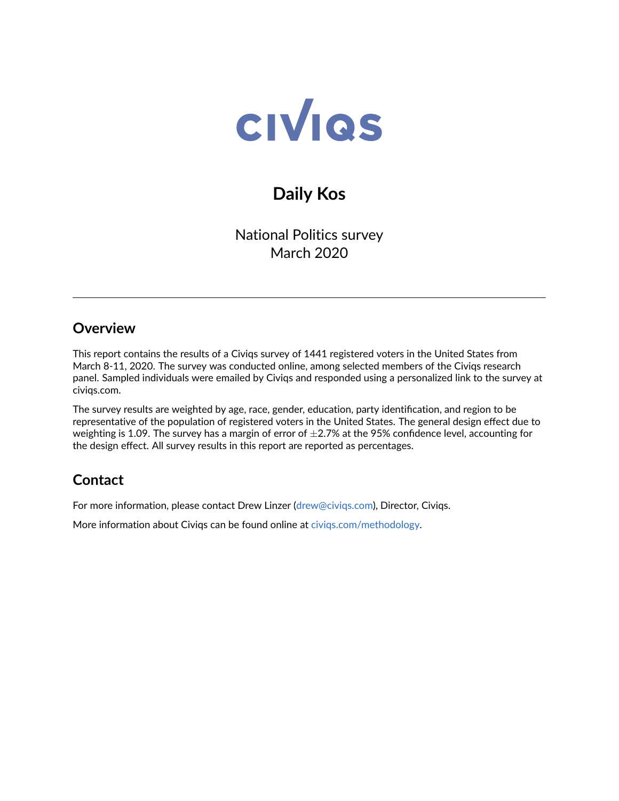

# **Daily Kos**

National Politics survey March 2020

## **Overview**

This report contains the results of a Civiqs survey of 1441 registered voters in the United States from March 8-11, 2020. The survey was conducted online, among selected members of the Civiqs research panel. Sampled individuals were emailed by Civiqs and responded using a personalized link to the survey at civiqs.com.

The survey results are weighted by age, race, gender, education, party identification, and region to be representative of the population of registered voters in the United States. The general design effect due to weighting is 1.09. The survey has a margin of error of  $\pm$ 2.7% at the 95% confidence level, accounting for the design effect. All survey results in this report are reported as percentages.

## **Contact**

For more information, please contact Drew Linzer [\(drew@civiqs.com\)](mailto:drew@civiqs.com), Director, Civiqs.

More information about Civiqs can be found online at [civiqs.com/methodology.](https://civiqs.com/methodology)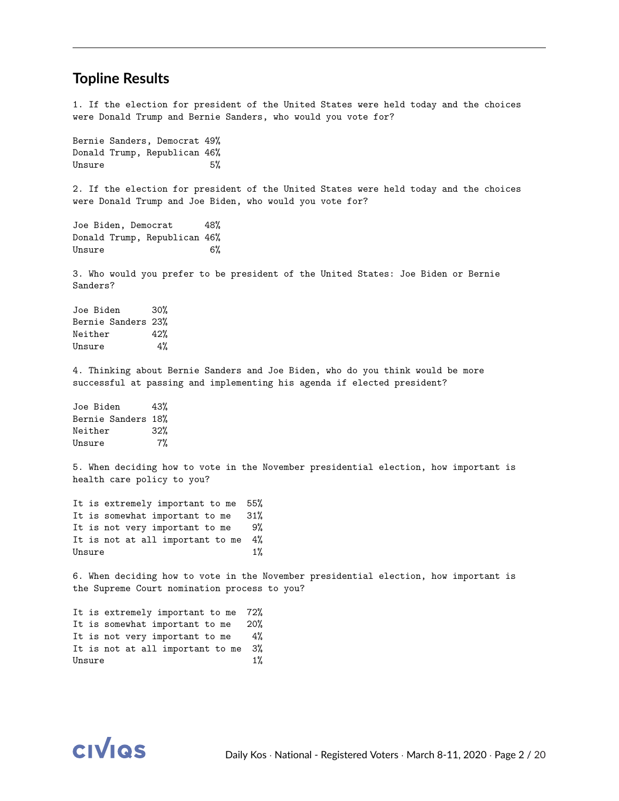#### **Topline Results**

1. If the election for president of the United States were held today and the choices were Donald Trump and Bernie Sanders, who would you vote for?

Bernie Sanders, Democrat 49% Donald Trump, Republican 46% Unsure 5%

2. If the election for president of the United States were held today and the choices were Donald Trump and Joe Biden, who would you vote for?

Joe Biden, Democrat 48% Donald Trump, Republican 46% Unsure 6%

3. Who would you prefer to be president of the United States: Joe Biden or Bernie Sanders?

Joe Biden 30% Bernie Sanders 23% Neither 42% Unsure 4%

4. Thinking about Bernie Sanders and Joe Biden, who do you think would be more successful at passing and implementing his agenda if elected president?

Joe Biden 43% Bernie Sanders 18% Neither 32% Unsure 7%

5. When deciding how to vote in the November presidential election, how important is health care policy to you?

It is extremely important to me 55% It is somewhat important to me 31% It is not very important to me 9% It is not at all important to me 4% Unsure 1%

6. When deciding how to vote in the November presidential election, how important is the Supreme Court nomination process to you?

It is extremely important to me 72% It is somewhat important to me 20% It is not very important to me 4% It is not at all important to me 3% Unsure 1%

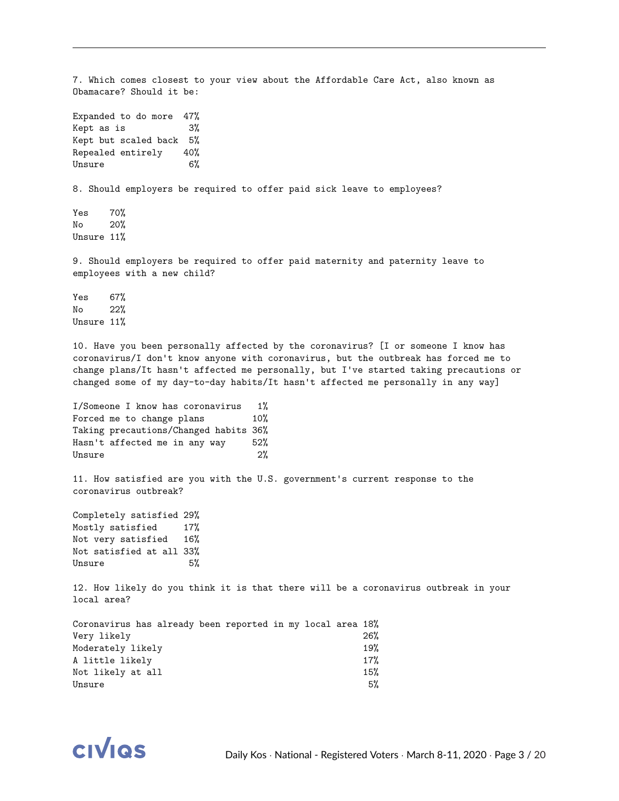7. Which comes closest to your view about the Affordable Care Act, also known as Obamacare? Should it be: Expanded to do more 47% Kept as is 3% Kept but scaled back 5% Repealed entirely 40% Unsure 6% 8. Should employers be required to offer paid sick leave to employees? Yes 70% No 20% Unsure 11% 9. Should employers be required to offer paid maternity and paternity leave to employees with a new child? Yes 67% No 22% Unsure 11% 10. Have you been personally affected by the coronavirus? [I or someone I know has coronavirus/I don't know anyone with coronavirus, but the outbreak has forced me to change plans/It hasn't affected me personally, but I've started taking precautions or changed some of my day-to-day habits/It hasn't affected me personally in any way] I/Someone I know has coronavirus 1% Forced me to change plans 10% Taking precautions/Changed habits 36% Hasn't affected me in any way 52% Unsure 2% 11. How satisfied are you with the U.S. government's current response to the coronavirus outbreak? Completely satisfied 29% Mostly satisfied 17% Not very satisfied 16% Not satisfied at all 33% Unsure 5% 12. How likely do you think it is that there will be a coronavirus outbreak in your local area? Coronavirus has already been reported in my local area 18% Very likely 26% Moderately likely 19% A little likely 17% Not likely at all 15%

 $\mu$  Unsure  $5\%$ 

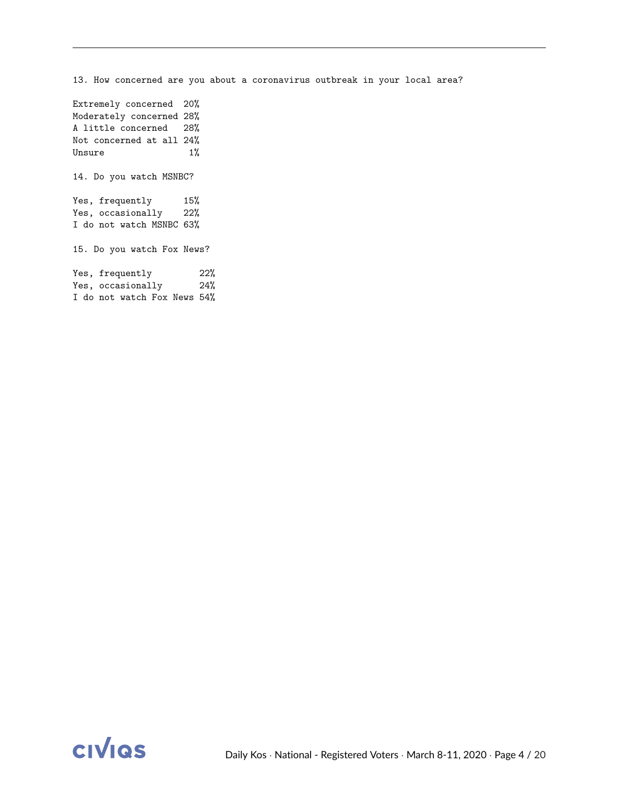13. How concerned are you about a coronavirus outbreak in your local area? Extremely concerned 20% Moderately concerned 28% A little concerned 28% Not concerned at all 24% Unsure 1% 14. Do you watch MSNBC? Yes, frequently 15% Yes, occasionally 22% I do not watch MSNBC 63% 15. Do you watch Fox News? Yes, frequently 22% Yes, occasionally 24% I do not watch Fox News 54%

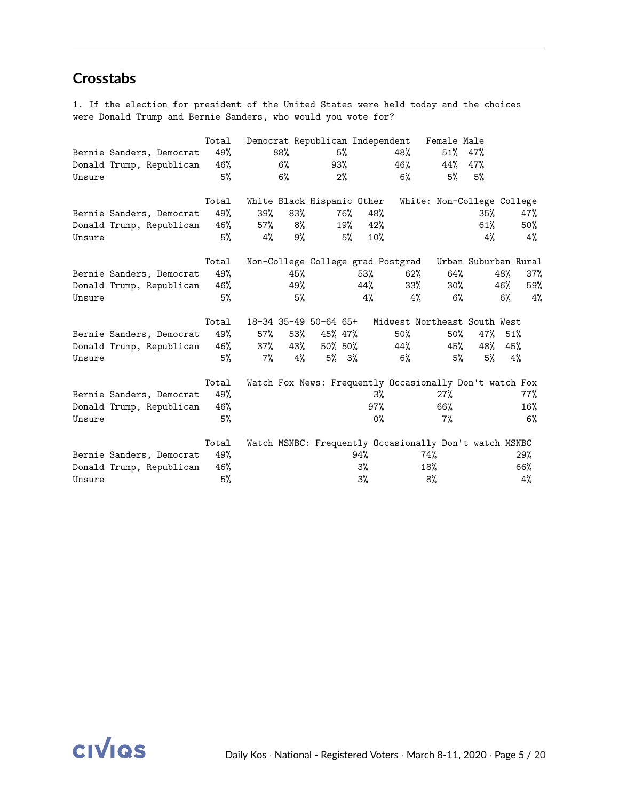## **Crosstabs**

1. If the election for president of the United States were held today and the choices were Donald Trump and Bernie Sanders, who would you vote for?

|        |                          | Total |        |       | Democrat Republican Independent |          |       |                                                         | Female Male                |                      |     |     |
|--------|--------------------------|-------|--------|-------|---------------------------------|----------|-------|---------------------------------------------------------|----------------------------|----------------------|-----|-----|
|        | Bernie Sanders, Democrat | 49%   |        | 88%   |                                 | 5%       |       | 48%                                                     | $51\%$                     | 47%                  |     |     |
|        | Donald Trump, Republican | 46%   |        | $6\%$ | 93%                             |          |       | 46%                                                     | 44%                        | 47%                  |     |     |
| Unsure |                          | 5%    |        | $6\%$ |                                 | $2\%$    |       | $6\%$                                                   | 5%                         | 5%                   |     |     |
|        |                          | Total |        |       | White Black Hispanic Other      |          |       |                                                         | White: Non-College College |                      |     |     |
|        | Bernie Sanders, Democrat | 49%   | 39%    | 83%   |                                 | 76%      | 48%   |                                                         |                            | 35%                  |     | 47% |
|        | Donald Trump, Republican | 46%   | $57\%$ | 8%    |                                 | 19%      | 42%   |                                                         |                            | 61%                  |     | 50% |
| Unsure |                          | 5%    | 4%     | 9%    |                                 | 5%       | 10%   |                                                         |                            | 4%                   |     | 4%  |
|        |                          | Total |        |       |                                 |          |       | Non-College College grad Postgrad                       |                            | Urban Suburban Rural |     |     |
|        | Bernie Sanders, Democrat | 49%   |        | 45%   |                                 |          | 53%   | 62%                                                     | 64%                        |                      | 48% | 37% |
|        | Donald Trump, Republican | 46%   |        | 49%   |                                 |          | 44%   | $33\%$                                                  | 30%                        |                      | 46% | 59% |
| Unsure |                          | 5%    |        | 5%    |                                 |          | 4%    | 4%                                                      | 6%                         |                      | 6%  | 4%  |
|        |                          | Total |        |       | 18-34 35-49 50-64 65+           |          |       | Midwest Northeast South West                            |                            |                      |     |     |
|        | Bernie Sanders, Democrat | 49%   | $57\%$ | 53%   | 45% 47%                         |          |       | $50\%$                                                  | $50\%$                     | 47% 51%              |     |     |
|        | Donald Trump, Republican | 46%   | 37%    | 43%   | 50% 50%                         |          |       | 44%                                                     | 45%                        | 48%                  | 45% |     |
| Unsure |                          | 5%    | 7%     | 4%    |                                 | $5\%$ 3% |       | 6%                                                      | 5%                         | 5%                   |     | 4%  |
|        |                          | Total |        |       |                                 |          |       | Watch Fox News: Frequently Occasionally Don't watch Fox |                            |                      |     |     |
|        | Bernie Sanders, Democrat | 49%   |        |       |                                 |          | $3\%$ |                                                         | 27%                        |                      |     | 77% |
|        | Donald Trump, Republican | 46%   |        |       |                                 |          | 97%   |                                                         | 66%                        |                      |     | 16% |
| Unsure |                          | 5%    |        |       |                                 |          | $0\%$ |                                                         | $7\%$                      |                      |     | 6%  |
|        |                          | Total |        |       |                                 |          |       | Watch MSNBC: Frequently Occasionally Don't watch MSNBC  |                            |                      |     |     |
|        | Bernie Sanders, Democrat | 49%   |        |       |                                 |          | 94%   |                                                         | 74%                        |                      |     | 29% |
|        | Donald Trump, Republican | 46%   |        |       |                                 |          | $3\%$ |                                                         | 18%                        |                      |     | 66% |
| Unsure |                          | 5%    |        |       |                                 |          | 3%    |                                                         | 8%                         |                      |     | 4%  |

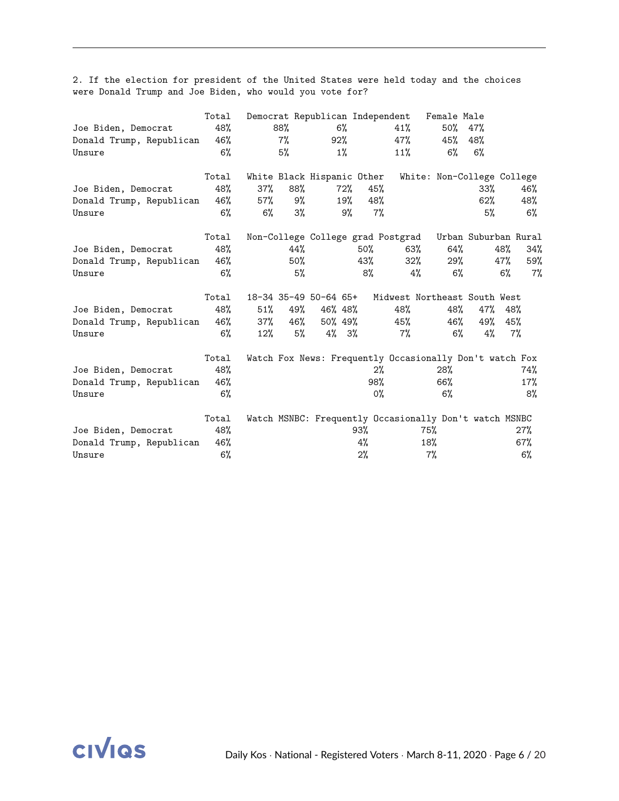|                          | Total |        |       | Democrat Republican Independent |          |        |                                                         | Female Male          |         |       |        |
|--------------------------|-------|--------|-------|---------------------------------|----------|--------|---------------------------------------------------------|----------------------|---------|-------|--------|
| Joe Biden, Democrat      | 48%   |        | 88%   |                                 | $6\%$    |        | 41%                                                     | 50%                  | 47%     |       |        |
| Donald Trump, Republican | 46%   |        | $7\%$ |                                 | 92%      |        | 47%                                                     | 45%                  | 48%     |       |        |
| Unsure                   | $6\%$ |        | 5%    |                                 | $1\%$    |        | 11%                                                     | 6%                   | 6%      |       |        |
|                          | Total |        |       | White Black Hispanic Other      |          |        | White: Non-College College                              |                      |         |       |        |
| Joe Biden, Democrat      | 48%   | 37%    | 88%   |                                 | 72%      | 45%    |                                                         |                      | 33%     |       | 46%    |
| Donald Trump, Republican | 46%   | 57%    | 9%    |                                 | 19%      | 48%    |                                                         |                      | $62\%$  |       | 48%    |
| Unsure                   | $6\%$ | $6\%$  | 3%    |                                 | 9%       | 7%     |                                                         |                      | 5%      |       | $6\%$  |
|                          | Total |        |       |                                 |          |        | Non-College College grad Postgrad                       | Urban Suburban Rural |         |       |        |
| Joe Biden, Democrat      | 48%   |        | 44%   |                                 |          | $50\%$ | 63%                                                     | 64%                  |         | 48%   | 34%    |
| Donald Trump, Republican | 46%   |        | 50%   |                                 |          | 43%    | $32\%$                                                  | 29%                  |         | 47%   | 59%    |
| Unsure                   | 6%    |        | 5%    |                                 |          | 8%     | 4%                                                      | $6\%$                |         | $6\%$ | 7%     |
|                          | Total |        |       | 18-34 35-49 50-64 65+           |          |        | Midwest Northeast South West                            |                      |         |       |        |
| Joe Biden, Democrat      | 48%   | 51%    | 49%   |                                 | 46% 48%  |        | 48%                                                     | 48%                  | 47% 48% |       |        |
| Donald Trump, Republican | 46%   | 37%    | 46%   |                                 | 50% 49%  |        | 45%                                                     | 46%                  | 49% 45% |       |        |
| Unsure                   | 6%    | $12\%$ | 5%    |                                 | $4\%$ 3% |        | 7%                                                      | $6\%$                | 4%      | $7\%$ |        |
|                          | Total |        |       |                                 |          |        | Watch Fox News: Frequently Occasionally Don't watch Fox |                      |         |       |        |
| Joe Biden, Democrat      | 48%   |        |       |                                 |          | $2\%$  |                                                         | 28%                  |         |       | 74%    |
| Donald Trump, Republican | 46%   |        |       |                                 |          | 98%    |                                                         | 66%                  |         |       | $17\%$ |
| Unsure                   | 6%    |        |       |                                 |          | $0\%$  |                                                         | 6%                   |         |       | 8%     |
|                          | Total |        |       |                                 |          |        | Watch MSNBC: Frequently Occasionally Don't watch MSNBC  |                      |         |       |        |
| Joe Biden, Democrat      | 48%   |        |       |                                 |          | 93%    | 75%                                                     |                      |         |       | 27%    |
| Donald Trump, Republican | 46%   |        |       |                                 |          | 4%     | 18%                                                     |                      |         |       | 67%    |
| Unsure                   | 6%    |        |       |                                 |          | 2%     | 7%                                                      |                      |         |       | $6\%$  |

2. If the election for president of the United States were held today and the choices were Donald Trump and Joe Biden, who would you vote for?

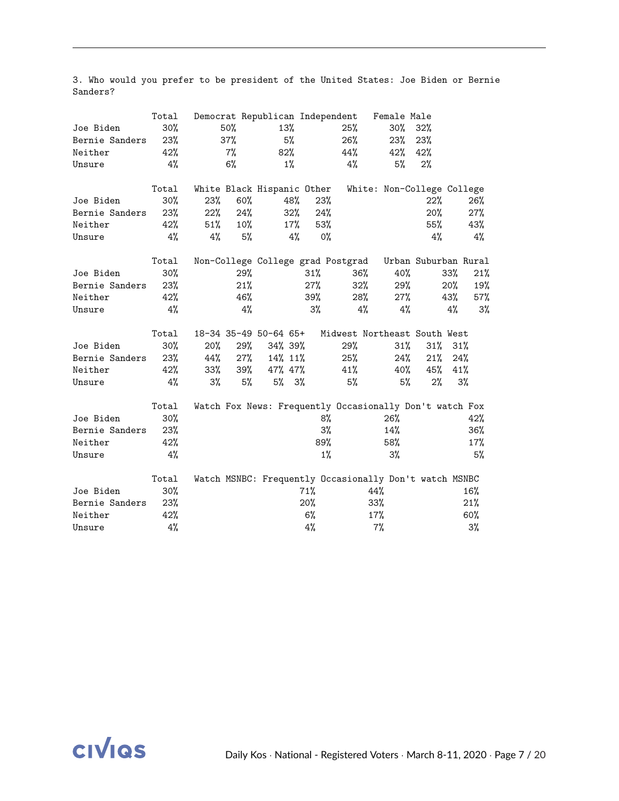|                | Total  |     |        | Democrat Republican Independent |       |       |                                                         | Female Male                |                      |     |        |
|----------------|--------|-----|--------|---------------------------------|-------|-------|---------------------------------------------------------|----------------------------|----------------------|-----|--------|
| Joe Biden      | $30\%$ |     | 50%    | 13%                             |       |       | 25%                                                     | $30\%$                     | 32%                  |     |        |
| Bernie Sanders | 23%    |     | 37%    |                                 | 5%    |       | 26%                                                     | 23%                        | 23%                  |     |        |
| Neither        | 42%    |     | $7\%$  | 82%                             |       |       | 44%                                                     | 42%                        | 42%                  |     |        |
| Unsure         | 4%     |     | 6%     |                                 | $1\%$ |       | 4%                                                      | 5%                         | 2%                   |     |        |
|                | Total  |     |        | White Black Hispanic Other      |       |       |                                                         | White: Non-College College |                      |     |        |
| Joe Biden      | 30%    | 23% | 60%    |                                 | 48%   | 23%   |                                                         |                            | 22%                  |     | 26%    |
| Bernie Sanders | 23%    | 22% | 24%    |                                 | 32%   | 24%   |                                                         |                            | 20%                  |     | 27%    |
| Neither        | 42%    | 51% | $10\%$ |                                 | 17%   | 53%   |                                                         |                            | 55%                  |     | 43%    |
| Unsure         | 4%     | 4%  | 5%     |                                 | 4%    | $0\%$ |                                                         |                            | 4%                   |     | $4\%$  |
|                | Total  |     |        |                                 |       |       | Non-College College grad Postgrad                       |                            | Urban Suburban Rural |     |        |
| Joe Biden      | 30%    |     | 29%    |                                 |       | 31%   | 36%                                                     | 40%                        |                      | 33% | 21%    |
| Bernie Sanders | 23%    |     | 21%    |                                 |       | 27%   | 32%                                                     | 29%                        |                      | 20% | 19%    |
| Neither        | 42%    |     | 46%    |                                 |       | 39%   | 28%                                                     | 27%                        |                      | 43% | 57%    |
| Unsure         | 4%     |     | 4%     |                                 |       | 3%    | 4%                                                      | $4\%$                      |                      | 4%  | 3%     |
|                | Total  |     |        | 18-34 35-49 50-64 65+           |       |       | Midwest Northeast South West                            |                            |                      |     |        |
| Joe Biden      | 30%    | 20% | 29%    | 34% 39%                         |       |       | 29%                                                     | 31%                        | 31%                  | 31% |        |
| Bernie Sanders | 23%    | 44% | 27%    | 14% 11%                         |       |       | 25%                                                     | 24%                        | 21%                  | 24% |        |
| Neither        | 42%    | 33% | 39%    | 47% 47%                         |       |       | 41%                                                     | 40%                        | 45%                  | 41% |        |
| Unsure         | 4%     | 3%  | 5%     | 5%                              | 3%    |       | 5%                                                      | 5%                         | $2\%$                | 3%  |        |
|                | Total  |     |        |                                 |       |       | Watch Fox News: Frequently Occasionally Don't watch Fox |                            |                      |     |        |
| Joe Biden      | $30\%$ |     |        |                                 |       | 8%    |                                                         | 26%                        |                      |     | 42%    |
| Bernie Sanders | 23%    |     |        |                                 |       | 3%    |                                                         | 14%                        |                      |     | 36%    |
| Neither        | 42%    |     |        |                                 |       | 89%   |                                                         | 58%                        |                      |     | $17\%$ |
| Unsure         | 4%     |     |        |                                 |       | $1\%$ |                                                         | $3\%$                      |                      |     | 5%     |
|                | Total  |     |        |                                 |       |       | Watch MSNBC: Frequently Occasionally Don't watch MSNBC  |                            |                      |     |        |
| Joe Biden      | 30%    |     |        |                                 |       | 71%   |                                                         | 44%                        |                      |     | 16%    |
| Bernie Sanders | 23%    |     |        |                                 |       | 20%   |                                                         | 33%                        |                      |     | 21%    |
| Neither        | 42%    |     |        |                                 |       | 6%    |                                                         | 17%                        |                      |     | 60%    |
| Unsure         | $4\%$  |     |        |                                 |       | 4%    |                                                         | $7\%$                      |                      |     | 3%     |

3. Who would you prefer to be president of the United States: Joe Biden or Bernie Sanders?

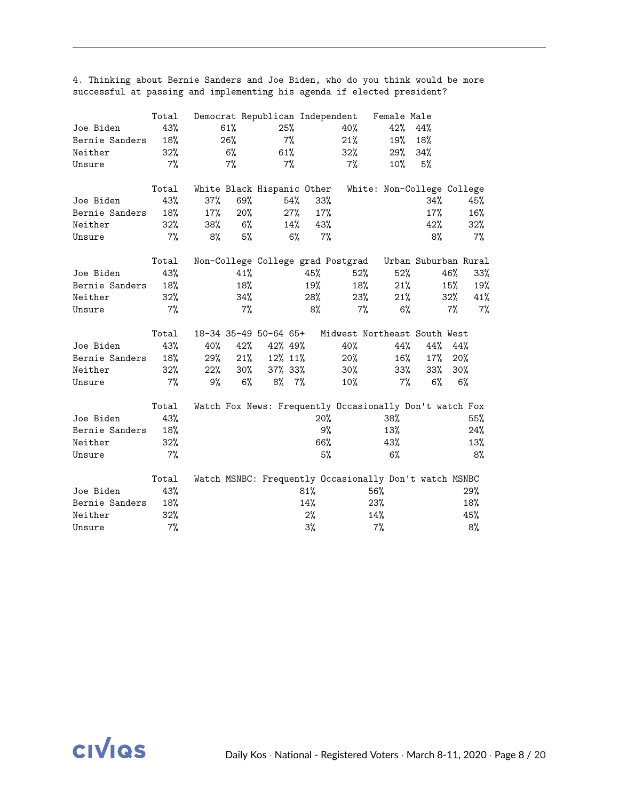|                | Total  |     |       | Democrat Republican Independent |       |       |                                   | Female Male                                             |                      |       |       |
|----------------|--------|-----|-------|---------------------------------|-------|-------|-----------------------------------|---------------------------------------------------------|----------------------|-------|-------|
| Joe Biden      | 43%    |     | 61%   | 25%                             |       |       | 40%                               | 42%                                                     | 44%                  |       |       |
| Bernie Sanders | 18%    |     | 26%   |                                 | $7\%$ |       | 21%                               | 19%                                                     | 18%                  |       |       |
| Neither        | 32%    |     | $6\%$ | 61%                             |       |       | 32%                               | 29%                                                     | 34%                  |       |       |
| Unsure         | $7\%$  |     | $7\%$ |                                 | 7%    |       | 7%                                | $10\%$                                                  | 5%                   |       |       |
|                | Total  |     |       | White Black Hispanic Other      |       |       |                                   | White: Non-College College                              |                      |       |       |
| Joe Biden      | 43%    | 37% | 69%   |                                 | 54%   | 33%   |                                   |                                                         | 34%                  |       | 45%   |
| Bernie Sanders | 18%    | 17% | 20%   |                                 | 27%   | 17%   |                                   |                                                         | 17%                  |       | 16%   |
| Neither        | 32%    | 38% | $6\%$ |                                 | 14%   | 43%   |                                   |                                                         | 42%                  |       | 32%   |
| Unsure         | $7\%$  | 8%  | 5%    |                                 | 6%    | $7\%$ |                                   |                                                         | 8%                   |       | $7\%$ |
|                | Total  |     |       |                                 |       |       | Non-College College grad Postgrad |                                                         | Urban Suburban Rural |       |       |
| Joe Biden      | 43%    |     | 41%   |                                 |       | 45%   | 52%                               | 52%                                                     |                      | 46%   | 33%   |
| Bernie Sanders | 18%    |     | 18%   |                                 |       | 19%   | 18%                               | 21%                                                     |                      | 15%   | 19%   |
| Neither        | $32\%$ |     | 34%   |                                 |       | 28%   | 23%                               | 21%                                                     |                      | 32%   | 41%   |
| Unsure         | $7\%$  |     | $7\%$ |                                 |       | 8%    | 7%                                | 6%                                                      |                      | $7\%$ | $7\%$ |
|                | Total  |     |       | 18-34 35-49 50-64 65+           |       |       |                                   | Midwest Northeast South West                            |                      |       |       |
| Joe Biden      | 43%    | 40% | 42%   | 42% 49%                         |       |       | 40%                               | 44%                                                     | 44%                  | 44%   |       |
| Bernie Sanders | 18%    | 29% | 21%   | 12% 11%                         |       |       | 20%                               | 16%                                                     | $17\%$               | 20%   |       |
| Neither        | 32%    | 22% | 30%   | 37% 33%                         |       |       | $30\%$                            | 33%                                                     | $33\%$               | 30%   |       |
| Unsure         | 7%     | 9%  | $6\%$ | 8%                              | 7%    |       | 10%                               | 7%                                                      | 6%                   | 6%    |       |
|                | Total  |     |       |                                 |       |       |                                   | Watch Fox News: Frequently Occasionally Don't watch Fox |                      |       |       |
| Joe Biden      | 43%    |     |       |                                 |       | 20%   |                                   | 38%                                                     |                      |       | 55%   |
| Bernie Sanders | 18%    |     |       |                                 |       | 9%    |                                   | 13%                                                     |                      |       | 24%   |
| Neither        | 32%    |     |       |                                 |       | 66%   |                                   | 43%                                                     |                      |       | 13%   |
| Unsure         | 7%     |     |       |                                 |       | 5%    |                                   | 6%                                                      |                      |       | 8%    |
|                | Total  |     |       |                                 |       |       |                                   | Watch MSNBC: Frequently Occasionally Don't watch MSNBC  |                      |       |       |
| Joe Biden      | 43%    |     |       |                                 |       | 81%   |                                   | 56%                                                     |                      |       | 29%   |
| Bernie Sanders | 18%    |     |       |                                 |       | 14%   |                                   | 23%                                                     |                      |       | 18%   |
| Neither        | 32%    |     |       |                                 |       | $2\%$ |                                   | 14%                                                     |                      |       | 45%   |
| Unsure         | 7%     |     |       |                                 |       | $3\%$ |                                   | $7\%$                                                   |                      |       | 8%    |

4. Thinking about Bernie Sanders and Joe Biden, who do you think would be more successful at passing and implementing his agenda if elected president?

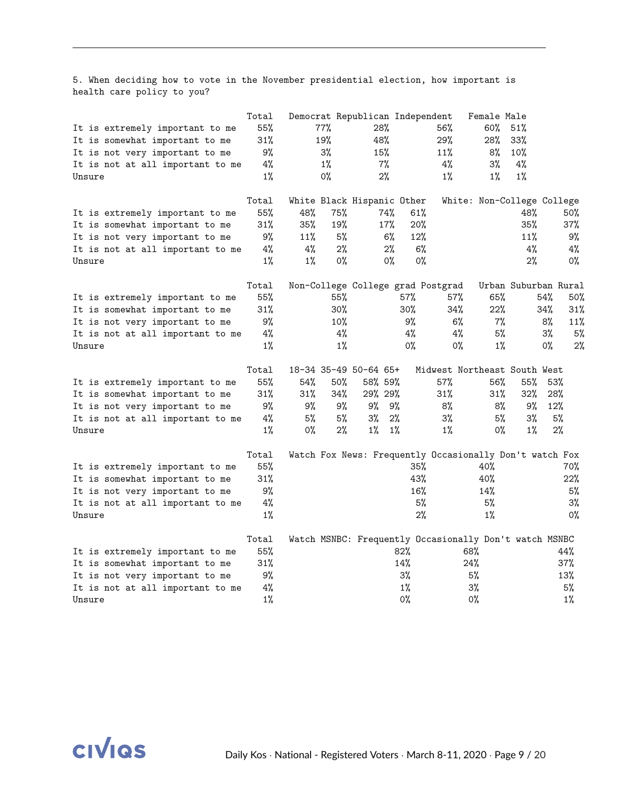5. When deciding how to vote in the November presidential election, how important is health care policy to you?

|                                  | Total |       |       | Democrat Republican Independent |        |                                                         | Female Male                |        |                      |
|----------------------------------|-------|-------|-------|---------------------------------|--------|---------------------------------------------------------|----------------------------|--------|----------------------|
| It is extremely important to me  | 55%   |       | 77%   | 28%                             |        | 56%                                                     | 60%                        | 51%    |                      |
| It is somewhat important to me   | 31%   |       | 19%   | 48%                             |        | 29%                                                     | 28%                        | 33%    |                      |
| It is not very important to me   | 9%    |       | 3%    | 15%                             |        | 11%                                                     | 8%                         | 10%    |                      |
| It is not at all important to me | 4%    |       | $1\%$ | $7\%$                           |        | 4%                                                      | 3%                         | 4%     |                      |
| Unsure                           | $1\%$ |       | 0%    | 2%                              |        | $1\%$                                                   | $1\%$                      | $1\%$  |                      |
|                                  |       |       |       |                                 |        |                                                         |                            |        |                      |
|                                  | Total |       |       | White Black Hispanic Other      |        |                                                         | White: Non-College College |        |                      |
| It is extremely important to me  | 55%   | 48%   | 75%   |                                 | 74%    | 61%                                                     |                            | 48%    | 50%                  |
| It is somewhat important to me   | 31%   | 35%   | 19%   |                                 | 17%    | 20%                                                     |                            | 35%    | 37%                  |
| It is not very important to me   | 9%    | 11%   | 5%    |                                 | 6%     | 12%                                                     |                            | 11%    | 9%                   |
| It is not at all important to me | 4%    | $4\%$ | 2%    |                                 | 2%     | 6%                                                      |                            | 4%     | $4\%$                |
| Unsure                           | 1%    | $1\%$ | 0%    |                                 | 0%     | $0\%$                                                   |                            | 2%     | $0\%$                |
|                                  | Total |       |       |                                 |        | Non-College College grad Postgrad                       |                            |        | Urban Suburban Rural |
| It is extremely important to me  | 55%   |       | 55%   |                                 | 57%    | 57%                                                     | 65%                        |        | 54%<br>50%           |
| It is somewhat important to me   | 31%   |       | 30%   |                                 | 30%    | 34%                                                     | 22%                        |        | 31%<br>34%           |
| It is not very important to me   | 9%    |       | 10%   |                                 | 9%     | 6%                                                      | 7%                         |        | 8%<br>11%            |
| It is not at all important to me | 4%    |       | 4%    |                                 | 4%     | $4\%$                                                   | 5%                         |        | 5%<br>3%             |
| Unsure                           | $1\%$ |       | $1\%$ |                                 | 0%     | 0%                                                      | 1%                         |        | 2%<br>0%             |
|                                  | Total |       |       | 18-34 35-49 50-64 65+           |        | Midwest Northeast South West                            |                            |        |                      |
| It is extremely important to me  | 55%   | 54%   | 50%   | 58% 59%                         |        | 57%                                                     | 56%                        | 55%    | 53%                  |
| It is somewhat important to me   | 31%   | 31%   | 34%   | 29% 29%                         |        | $31\%$                                                  | 31%                        | $32\%$ | 28%                  |
| It is not very important to me   | 9%    | 9%    | 9%    | 9%                              | 9%     | 8%                                                      | 8%                         | 9%     | 12%                  |
| It is not at all important to me | 4%    | 5%    | 5%    | 3%                              | 2%     | 3%                                                      | 5%                         | 3%     | 5%                   |
| Unsure                           | $1\%$ | 0%    | 2%    | 1%                              | $1\%$  | 1%                                                      | 0%                         | $1\%$  | 2%                   |
|                                  | Total |       |       |                                 |        | Watch Fox News: Frequently Occasionally Don't watch Fox |                            |        |                      |
| It is extremely important to me  | 55%   |       |       |                                 |        | 35%                                                     | 40%                        |        | 70%                  |
|                                  | 31%   |       |       |                                 | 43%    |                                                         | 40%                        |        | 22%                  |
| It is somewhat important to me   | 9%    |       |       |                                 |        | 16%                                                     |                            |        | 5%                   |
| It is not very important to me   |       |       |       |                                 |        |                                                         | 14%                        |        |                      |
| It is not at all important to me | 4%    |       |       |                                 |        | 5%                                                      | 5%                         |        | 3%                   |
| Unsure                           | $1\%$ |       |       |                                 |        | 2%                                                      | $1\%$                      |        | $0\%$                |
|                                  | Total |       |       |                                 |        | Watch MSNBC: Frequently Occasionally Don't watch MSNBC  |                            |        |                      |
| It is extremely important to me  | 55%   |       |       |                                 | $82\%$ |                                                         | 68%                        |        | 44%                  |
| It is somewhat important to me   | 31%   |       |       |                                 | 14%    |                                                         | 24%                        |        | 37%                  |
| It is not very important to me   | 9%    |       |       |                                 | 3%     |                                                         | 5%                         |        | 13%                  |
| It is not at all important to me | $4\%$ |       |       |                                 | $1\%$  |                                                         | 3%                         |        | 5%                   |
| Unsure                           | $1\%$ |       |       |                                 | $0\%$  |                                                         | 0%                         |        | $1\%$                |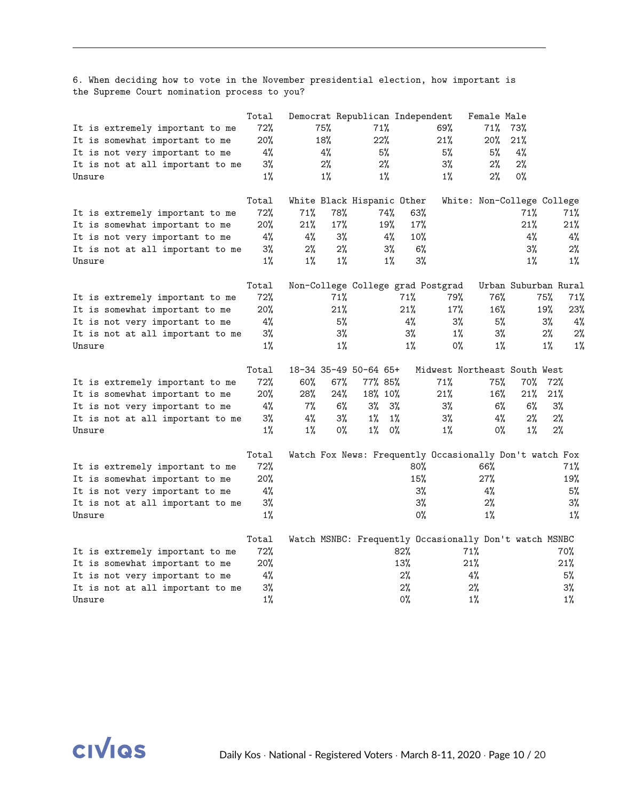6. When deciding how to vote in the November presidential election, how important is the Supreme Court nomination process to you?

| 72%<br>71%<br>75%<br>69%<br>71%<br>73%<br>It is extremely important to me<br>20%<br>22%<br>21%<br>18%<br>20%<br>21%<br>It is somewhat important to me<br>4%<br>4%<br>5%<br>5%<br>5%<br>4%<br>It is not very important to me<br>3%<br>2%<br>2%<br>3%<br>2%<br>2%<br>It is not at all important to me<br>$1\%$<br>$1\%$<br>$1\%$<br>$1\%$<br>2%<br>0%<br>Unsure<br>Total<br>White Black Hispanic Other<br>White: Non-College College<br>72%<br>78%<br>63%<br>71%<br>74%<br>71%<br>71%<br>It is extremely important to me<br>17%<br>20%<br>21%<br>19%<br>17%<br>21%<br>21%<br>It is somewhat important to me<br>4%<br>3%<br>4%<br>4%<br>10%<br>4%<br>4%<br>It is not very important to me<br>3%<br>$2\%$<br>2%<br>$3\%$<br>6%<br>$3\%$<br>2%<br>It is not at all important to me<br>3%<br>$1\%$<br>$1\%$<br>$1\%$<br>$1\%$<br>$1\%$<br>$1\%$<br>Unsure<br>Total<br>Urban Suburban Rural<br>Non-College College grad Postgrad<br>72%<br>76%<br>71%<br>71%<br>79%<br>75%<br>71%<br>It is extremely important to me<br>20%<br>21%<br>21%<br>17%<br>16%<br>19%<br>23%<br>It is somewhat important to me<br>4%<br>5%<br>4%<br>3%<br>5%<br>$3\%$<br>4%<br>It is not very important to me<br>3%<br>3%<br>$3\%$<br>$3\%$<br>2%<br>$1\%$<br>2%<br>It is not at all important to me<br>$1\%$<br>$1\%$<br>$1\%$<br>0%<br>$1\%$<br>$1\%$<br>1%<br>Unsure<br>Total<br>18-34 35-49 50-64 65+<br>Midwest Northeast South West<br>72%<br>71%<br>60%<br>67%<br>77% 85%<br>75%<br>70%<br>72%<br>It is extremely important to me<br>20%<br>28%<br>24%<br>18% 10%<br>21%<br>16%<br>21%<br>21%<br>It is somewhat important to me<br>4%<br>7%<br>6%<br>3%<br>3%<br>6%<br>6%<br>3%<br>$3\%$<br>It is not very important to me<br>3%<br>4%<br>3%<br>1%<br>4%<br>2%<br>$1\%$<br>$3\%$<br>$2\%$<br>It is not at all important to me<br>$1\%$<br>$1\%$<br>0%<br>$1\%$<br>$0\%$<br>$1\%$<br>$2\%$<br>0%<br>$1\%$<br>Unsure<br>Total<br>Watch Fox News: Frequently Occasionally Don't watch Fox<br>72%<br>$80\%$<br>66%<br>71%<br>It is extremely important to me<br>$20\%$<br>15%<br>27%<br>19%<br>It is somewhat important to me<br>4%<br>3%<br>4%<br>5%<br>It is not very important to me<br>3%<br>3%<br>3%<br>$2\%$<br>It is not at all important to me<br>$1\%$<br>$0\%$<br>$1\%$<br>$1\%$<br>Unsure<br>Total<br>Watch MSNBC: Frequently Occasionally Don't watch MSNBC<br>72%<br>82%<br>71%<br>70%<br>It is extremely important to me<br>$20\%$<br>13%<br>21%<br>21%<br>It is somewhat important to me<br>4%<br>2%<br>5%<br>4%<br>It is not very important to me<br>3%<br>2%<br>$2\%$<br>3%<br>It is not at all important to me<br>$1\%$<br>$0\%$<br>$1\%$<br>$1\%$<br>Unsure | Total |  |  | Democrat Republican Independent | Female Male |  |  |
|-----------------------------------------------------------------------------------------------------------------------------------------------------------------------------------------------------------------------------------------------------------------------------------------------------------------------------------------------------------------------------------------------------------------------------------------------------------------------------------------------------------------------------------------------------------------------------------------------------------------------------------------------------------------------------------------------------------------------------------------------------------------------------------------------------------------------------------------------------------------------------------------------------------------------------------------------------------------------------------------------------------------------------------------------------------------------------------------------------------------------------------------------------------------------------------------------------------------------------------------------------------------------------------------------------------------------------------------------------------------------------------------------------------------------------------------------------------------------------------------------------------------------------------------------------------------------------------------------------------------------------------------------------------------------------------------------------------------------------------------------------------------------------------------------------------------------------------------------------------------------------------------------------------------------------------------------------------------------------------------------------------------------------------------------------------------------------------------------------------------------------------------------------------------------------------------------------------------------------------------------------------------------------------------------------------------------------------------------------------------------------------------------------------------------------------------------------------------------------------------------------------------------------------------------------------------------------------------------------------------------------------------------------|-------|--|--|---------------------------------|-------------|--|--|
|                                                                                                                                                                                                                                                                                                                                                                                                                                                                                                                                                                                                                                                                                                                                                                                                                                                                                                                                                                                                                                                                                                                                                                                                                                                                                                                                                                                                                                                                                                                                                                                                                                                                                                                                                                                                                                                                                                                                                                                                                                                                                                                                                                                                                                                                                                                                                                                                                                                                                                                                                                                                                                                     |       |  |  |                                 |             |  |  |
|                                                                                                                                                                                                                                                                                                                                                                                                                                                                                                                                                                                                                                                                                                                                                                                                                                                                                                                                                                                                                                                                                                                                                                                                                                                                                                                                                                                                                                                                                                                                                                                                                                                                                                                                                                                                                                                                                                                                                                                                                                                                                                                                                                                                                                                                                                                                                                                                                                                                                                                                                                                                                                                     |       |  |  |                                 |             |  |  |
|                                                                                                                                                                                                                                                                                                                                                                                                                                                                                                                                                                                                                                                                                                                                                                                                                                                                                                                                                                                                                                                                                                                                                                                                                                                                                                                                                                                                                                                                                                                                                                                                                                                                                                                                                                                                                                                                                                                                                                                                                                                                                                                                                                                                                                                                                                                                                                                                                                                                                                                                                                                                                                                     |       |  |  |                                 |             |  |  |
|                                                                                                                                                                                                                                                                                                                                                                                                                                                                                                                                                                                                                                                                                                                                                                                                                                                                                                                                                                                                                                                                                                                                                                                                                                                                                                                                                                                                                                                                                                                                                                                                                                                                                                                                                                                                                                                                                                                                                                                                                                                                                                                                                                                                                                                                                                                                                                                                                                                                                                                                                                                                                                                     |       |  |  |                                 |             |  |  |
|                                                                                                                                                                                                                                                                                                                                                                                                                                                                                                                                                                                                                                                                                                                                                                                                                                                                                                                                                                                                                                                                                                                                                                                                                                                                                                                                                                                                                                                                                                                                                                                                                                                                                                                                                                                                                                                                                                                                                                                                                                                                                                                                                                                                                                                                                                                                                                                                                                                                                                                                                                                                                                                     |       |  |  |                                 |             |  |  |
|                                                                                                                                                                                                                                                                                                                                                                                                                                                                                                                                                                                                                                                                                                                                                                                                                                                                                                                                                                                                                                                                                                                                                                                                                                                                                                                                                                                                                                                                                                                                                                                                                                                                                                                                                                                                                                                                                                                                                                                                                                                                                                                                                                                                                                                                                                                                                                                                                                                                                                                                                                                                                                                     |       |  |  |                                 |             |  |  |
|                                                                                                                                                                                                                                                                                                                                                                                                                                                                                                                                                                                                                                                                                                                                                                                                                                                                                                                                                                                                                                                                                                                                                                                                                                                                                                                                                                                                                                                                                                                                                                                                                                                                                                                                                                                                                                                                                                                                                                                                                                                                                                                                                                                                                                                                                                                                                                                                                                                                                                                                                                                                                                                     |       |  |  |                                 |             |  |  |
|                                                                                                                                                                                                                                                                                                                                                                                                                                                                                                                                                                                                                                                                                                                                                                                                                                                                                                                                                                                                                                                                                                                                                                                                                                                                                                                                                                                                                                                                                                                                                                                                                                                                                                                                                                                                                                                                                                                                                                                                                                                                                                                                                                                                                                                                                                                                                                                                                                                                                                                                                                                                                                                     |       |  |  |                                 |             |  |  |
|                                                                                                                                                                                                                                                                                                                                                                                                                                                                                                                                                                                                                                                                                                                                                                                                                                                                                                                                                                                                                                                                                                                                                                                                                                                                                                                                                                                                                                                                                                                                                                                                                                                                                                                                                                                                                                                                                                                                                                                                                                                                                                                                                                                                                                                                                                                                                                                                                                                                                                                                                                                                                                                     |       |  |  |                                 |             |  |  |
|                                                                                                                                                                                                                                                                                                                                                                                                                                                                                                                                                                                                                                                                                                                                                                                                                                                                                                                                                                                                                                                                                                                                                                                                                                                                                                                                                                                                                                                                                                                                                                                                                                                                                                                                                                                                                                                                                                                                                                                                                                                                                                                                                                                                                                                                                                                                                                                                                                                                                                                                                                                                                                                     |       |  |  |                                 |             |  |  |
|                                                                                                                                                                                                                                                                                                                                                                                                                                                                                                                                                                                                                                                                                                                                                                                                                                                                                                                                                                                                                                                                                                                                                                                                                                                                                                                                                                                                                                                                                                                                                                                                                                                                                                                                                                                                                                                                                                                                                                                                                                                                                                                                                                                                                                                                                                                                                                                                                                                                                                                                                                                                                                                     |       |  |  |                                 |             |  |  |
|                                                                                                                                                                                                                                                                                                                                                                                                                                                                                                                                                                                                                                                                                                                                                                                                                                                                                                                                                                                                                                                                                                                                                                                                                                                                                                                                                                                                                                                                                                                                                                                                                                                                                                                                                                                                                                                                                                                                                                                                                                                                                                                                                                                                                                                                                                                                                                                                                                                                                                                                                                                                                                                     |       |  |  |                                 |             |  |  |
|                                                                                                                                                                                                                                                                                                                                                                                                                                                                                                                                                                                                                                                                                                                                                                                                                                                                                                                                                                                                                                                                                                                                                                                                                                                                                                                                                                                                                                                                                                                                                                                                                                                                                                                                                                                                                                                                                                                                                                                                                                                                                                                                                                                                                                                                                                                                                                                                                                                                                                                                                                                                                                                     |       |  |  |                                 |             |  |  |
|                                                                                                                                                                                                                                                                                                                                                                                                                                                                                                                                                                                                                                                                                                                                                                                                                                                                                                                                                                                                                                                                                                                                                                                                                                                                                                                                                                                                                                                                                                                                                                                                                                                                                                                                                                                                                                                                                                                                                                                                                                                                                                                                                                                                                                                                                                                                                                                                                                                                                                                                                                                                                                                     |       |  |  |                                 |             |  |  |
|                                                                                                                                                                                                                                                                                                                                                                                                                                                                                                                                                                                                                                                                                                                                                                                                                                                                                                                                                                                                                                                                                                                                                                                                                                                                                                                                                                                                                                                                                                                                                                                                                                                                                                                                                                                                                                                                                                                                                                                                                                                                                                                                                                                                                                                                                                                                                                                                                                                                                                                                                                                                                                                     |       |  |  |                                 |             |  |  |
|                                                                                                                                                                                                                                                                                                                                                                                                                                                                                                                                                                                                                                                                                                                                                                                                                                                                                                                                                                                                                                                                                                                                                                                                                                                                                                                                                                                                                                                                                                                                                                                                                                                                                                                                                                                                                                                                                                                                                                                                                                                                                                                                                                                                                                                                                                                                                                                                                                                                                                                                                                                                                                                     |       |  |  |                                 |             |  |  |
|                                                                                                                                                                                                                                                                                                                                                                                                                                                                                                                                                                                                                                                                                                                                                                                                                                                                                                                                                                                                                                                                                                                                                                                                                                                                                                                                                                                                                                                                                                                                                                                                                                                                                                                                                                                                                                                                                                                                                                                                                                                                                                                                                                                                                                                                                                                                                                                                                                                                                                                                                                                                                                                     |       |  |  |                                 |             |  |  |
|                                                                                                                                                                                                                                                                                                                                                                                                                                                                                                                                                                                                                                                                                                                                                                                                                                                                                                                                                                                                                                                                                                                                                                                                                                                                                                                                                                                                                                                                                                                                                                                                                                                                                                                                                                                                                                                                                                                                                                                                                                                                                                                                                                                                                                                                                                                                                                                                                                                                                                                                                                                                                                                     |       |  |  |                                 |             |  |  |
|                                                                                                                                                                                                                                                                                                                                                                                                                                                                                                                                                                                                                                                                                                                                                                                                                                                                                                                                                                                                                                                                                                                                                                                                                                                                                                                                                                                                                                                                                                                                                                                                                                                                                                                                                                                                                                                                                                                                                                                                                                                                                                                                                                                                                                                                                                                                                                                                                                                                                                                                                                                                                                                     |       |  |  |                                 |             |  |  |
|                                                                                                                                                                                                                                                                                                                                                                                                                                                                                                                                                                                                                                                                                                                                                                                                                                                                                                                                                                                                                                                                                                                                                                                                                                                                                                                                                                                                                                                                                                                                                                                                                                                                                                                                                                                                                                                                                                                                                                                                                                                                                                                                                                                                                                                                                                                                                                                                                                                                                                                                                                                                                                                     |       |  |  |                                 |             |  |  |
|                                                                                                                                                                                                                                                                                                                                                                                                                                                                                                                                                                                                                                                                                                                                                                                                                                                                                                                                                                                                                                                                                                                                                                                                                                                                                                                                                                                                                                                                                                                                                                                                                                                                                                                                                                                                                                                                                                                                                                                                                                                                                                                                                                                                                                                                                                                                                                                                                                                                                                                                                                                                                                                     |       |  |  |                                 |             |  |  |
|                                                                                                                                                                                                                                                                                                                                                                                                                                                                                                                                                                                                                                                                                                                                                                                                                                                                                                                                                                                                                                                                                                                                                                                                                                                                                                                                                                                                                                                                                                                                                                                                                                                                                                                                                                                                                                                                                                                                                                                                                                                                                                                                                                                                                                                                                                                                                                                                                                                                                                                                                                                                                                                     |       |  |  |                                 |             |  |  |
|                                                                                                                                                                                                                                                                                                                                                                                                                                                                                                                                                                                                                                                                                                                                                                                                                                                                                                                                                                                                                                                                                                                                                                                                                                                                                                                                                                                                                                                                                                                                                                                                                                                                                                                                                                                                                                                                                                                                                                                                                                                                                                                                                                                                                                                                                                                                                                                                                                                                                                                                                                                                                                                     |       |  |  |                                 |             |  |  |
|                                                                                                                                                                                                                                                                                                                                                                                                                                                                                                                                                                                                                                                                                                                                                                                                                                                                                                                                                                                                                                                                                                                                                                                                                                                                                                                                                                                                                                                                                                                                                                                                                                                                                                                                                                                                                                                                                                                                                                                                                                                                                                                                                                                                                                                                                                                                                                                                                                                                                                                                                                                                                                                     |       |  |  |                                 |             |  |  |
|                                                                                                                                                                                                                                                                                                                                                                                                                                                                                                                                                                                                                                                                                                                                                                                                                                                                                                                                                                                                                                                                                                                                                                                                                                                                                                                                                                                                                                                                                                                                                                                                                                                                                                                                                                                                                                                                                                                                                                                                                                                                                                                                                                                                                                                                                                                                                                                                                                                                                                                                                                                                                                                     |       |  |  |                                 |             |  |  |
|                                                                                                                                                                                                                                                                                                                                                                                                                                                                                                                                                                                                                                                                                                                                                                                                                                                                                                                                                                                                                                                                                                                                                                                                                                                                                                                                                                                                                                                                                                                                                                                                                                                                                                                                                                                                                                                                                                                                                                                                                                                                                                                                                                                                                                                                                                                                                                                                                                                                                                                                                                                                                                                     |       |  |  |                                 |             |  |  |
|                                                                                                                                                                                                                                                                                                                                                                                                                                                                                                                                                                                                                                                                                                                                                                                                                                                                                                                                                                                                                                                                                                                                                                                                                                                                                                                                                                                                                                                                                                                                                                                                                                                                                                                                                                                                                                                                                                                                                                                                                                                                                                                                                                                                                                                                                                                                                                                                                                                                                                                                                                                                                                                     |       |  |  |                                 |             |  |  |
|                                                                                                                                                                                                                                                                                                                                                                                                                                                                                                                                                                                                                                                                                                                                                                                                                                                                                                                                                                                                                                                                                                                                                                                                                                                                                                                                                                                                                                                                                                                                                                                                                                                                                                                                                                                                                                                                                                                                                                                                                                                                                                                                                                                                                                                                                                                                                                                                                                                                                                                                                                                                                                                     |       |  |  |                                 |             |  |  |
|                                                                                                                                                                                                                                                                                                                                                                                                                                                                                                                                                                                                                                                                                                                                                                                                                                                                                                                                                                                                                                                                                                                                                                                                                                                                                                                                                                                                                                                                                                                                                                                                                                                                                                                                                                                                                                                                                                                                                                                                                                                                                                                                                                                                                                                                                                                                                                                                                                                                                                                                                                                                                                                     |       |  |  |                                 |             |  |  |
|                                                                                                                                                                                                                                                                                                                                                                                                                                                                                                                                                                                                                                                                                                                                                                                                                                                                                                                                                                                                                                                                                                                                                                                                                                                                                                                                                                                                                                                                                                                                                                                                                                                                                                                                                                                                                                                                                                                                                                                                                                                                                                                                                                                                                                                                                                                                                                                                                                                                                                                                                                                                                                                     |       |  |  |                                 |             |  |  |
|                                                                                                                                                                                                                                                                                                                                                                                                                                                                                                                                                                                                                                                                                                                                                                                                                                                                                                                                                                                                                                                                                                                                                                                                                                                                                                                                                                                                                                                                                                                                                                                                                                                                                                                                                                                                                                                                                                                                                                                                                                                                                                                                                                                                                                                                                                                                                                                                                                                                                                                                                                                                                                                     |       |  |  |                                 |             |  |  |
|                                                                                                                                                                                                                                                                                                                                                                                                                                                                                                                                                                                                                                                                                                                                                                                                                                                                                                                                                                                                                                                                                                                                                                                                                                                                                                                                                                                                                                                                                                                                                                                                                                                                                                                                                                                                                                                                                                                                                                                                                                                                                                                                                                                                                                                                                                                                                                                                                                                                                                                                                                                                                                                     |       |  |  |                                 |             |  |  |
|                                                                                                                                                                                                                                                                                                                                                                                                                                                                                                                                                                                                                                                                                                                                                                                                                                                                                                                                                                                                                                                                                                                                                                                                                                                                                                                                                                                                                                                                                                                                                                                                                                                                                                                                                                                                                                                                                                                                                                                                                                                                                                                                                                                                                                                                                                                                                                                                                                                                                                                                                                                                                                                     |       |  |  |                                 |             |  |  |
|                                                                                                                                                                                                                                                                                                                                                                                                                                                                                                                                                                                                                                                                                                                                                                                                                                                                                                                                                                                                                                                                                                                                                                                                                                                                                                                                                                                                                                                                                                                                                                                                                                                                                                                                                                                                                                                                                                                                                                                                                                                                                                                                                                                                                                                                                                                                                                                                                                                                                                                                                                                                                                                     |       |  |  |                                 |             |  |  |
|                                                                                                                                                                                                                                                                                                                                                                                                                                                                                                                                                                                                                                                                                                                                                                                                                                                                                                                                                                                                                                                                                                                                                                                                                                                                                                                                                                                                                                                                                                                                                                                                                                                                                                                                                                                                                                                                                                                                                                                                                                                                                                                                                                                                                                                                                                                                                                                                                                                                                                                                                                                                                                                     |       |  |  |                                 |             |  |  |
|                                                                                                                                                                                                                                                                                                                                                                                                                                                                                                                                                                                                                                                                                                                                                                                                                                                                                                                                                                                                                                                                                                                                                                                                                                                                                                                                                                                                                                                                                                                                                                                                                                                                                                                                                                                                                                                                                                                                                                                                                                                                                                                                                                                                                                                                                                                                                                                                                                                                                                                                                                                                                                                     |       |  |  |                                 |             |  |  |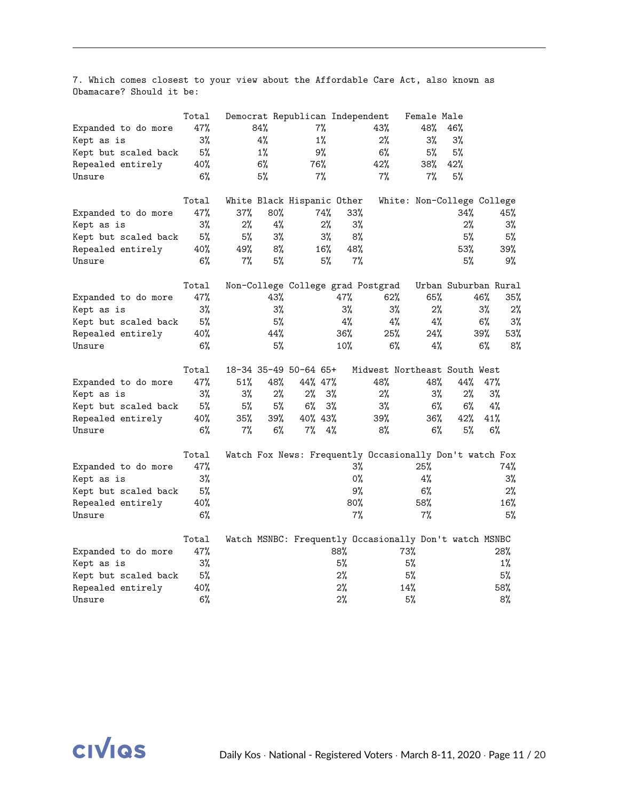7. Which comes closest to your view about the Affordable Care Act, also known as Obamacare? Should it be:

|                      | Total |     |        |                            |       | Democrat Republican Independent   | Female Male                                             |                      |       |        |
|----------------------|-------|-----|--------|----------------------------|-------|-----------------------------------|---------------------------------------------------------|----------------------|-------|--------|
| Expanded to do more  | 47%   | 84% |        | 7%                         |       | 43%                               | 48%                                                     | 46%                  |       |        |
| Kept as is           | $3\%$ |     | 4%     | 1%                         |       | 2%                                | 3%                                                      | 3%                   |       |        |
| Kept but scaled back | 5%    |     | $1\%$  | 9%                         |       | 6%                                | 5%                                                      | 5%                   |       |        |
| Repealed entirely    | 40%   |     | 6%     | 76%                        |       | 42%                               | 38%                                                     | 42%                  |       |        |
| Unsure               | 6%    |     | 5%     | 7%                         |       | $7\%$                             | 7%                                                      | 5%                   |       |        |
|                      | Total |     |        | White Black Hispanic Other |       |                                   | White: Non-College College                              |                      |       |        |
| Expanded to do more  | 47%   | 37% | $80\%$ | 74%                        |       | $33\%$                            |                                                         | 34%                  |       | 45%    |
| Kept as is           | $3\%$ | 2%  | 4%     |                            | 2%    | $3\%$                             |                                                         | 2%                   |       | $3\%$  |
| Kept but scaled back | 5%    | 5%  | 3%     |                            | $3\%$ | 8%                                |                                                         | 5%                   |       | 5%     |
| Repealed entirely    | 40%   | 49% | 8%     | 16%                        |       | 48%                               |                                                         | 53%                  |       | 39%    |
| Unsure               | 6%    | 7%  | 5%     |                            | 5%    | $7\%$                             |                                                         | 5%                   |       | 9%     |
|                      | Total |     |        |                            |       | Non-College College grad Postgrad |                                                         | Urban Suburban Rural |       |        |
| Expanded to do more  | 47%   |     | 43%    |                            | 47%   | 62%                               | 65%                                                     |                      | 46%   | $35\%$ |
| Kept as is           | $3\%$ |     | 3%     |                            | 3%    |                                   | 3%<br>$2\%$                                             |                      | 3%    | 2%     |
| Kept but scaled back | 5%    |     | 5%     |                            | 4%    |                                   | 4%<br>$4\%$                                             |                      | 6%    | $3\%$  |
| Repealed entirely    | 40%   |     | 44%    |                            | 36%   | 25%                               | 24%                                                     |                      | 39%   | 53%    |
| Unsure               | 6%    |     | 5%     |                            | 10%   |                                   | 6%<br>4%                                                |                      | 6%    | 8%     |
|                      | Total |     |        | 18-34 35-49 50-64 65+      |       |                                   | Midwest Northeast South West                            |                      |       |        |
| Expanded to do more  | 47%   | 51% | 48%    | 44% 47%                    |       | 48%                               | 48%                                                     | 44%                  | 47%   |        |
| Kept as is           | 3%    | 3%  | 2%     | 2%                         | 3%    | 2%                                | $3\%$                                                   | 2%                   | $3\%$ |        |
| Kept but scaled back | 5%    | 5%  | 5%     | 6%                         | 3%    | 3%                                | 6%                                                      | 6%                   | 4%    |        |
| Repealed entirely    | 40%   | 35% | 39%    | 40% 43%                    |       | 39%                               | 36%                                                     | 42%                  | 41%   |        |
| Unsure               | 6%    | 7%  | 6%     | 7%                         | 4%    | 8%                                | $6\%$                                                   | 5%                   | 6%    |        |
|                      | Total |     |        |                            |       |                                   | Watch Fox News: Frequently Occasionally Don't watch Fox |                      |       |        |
| Expanded to do more  | 47%   |     |        |                            |       | 3%                                | 25%                                                     |                      |       | 74%    |
| Kept as is           | $3\%$ |     |        |                            |       | $0\%$                             | 4%                                                      |                      |       | 3%     |
| Kept but scaled back | 5%    |     |        |                            |       | 9%                                | 6%                                                      |                      |       | 2%     |
| Repealed entirely    | 40%   |     |        |                            |       | 80%                               | 58%                                                     |                      |       | 16%    |
| Unsure               | 6%    |     |        |                            |       | $7\%$                             | $7\%$                                                   |                      |       | 5%     |
|                      | Total |     |        |                            |       |                                   | Watch MSNBC: Frequently Occasionally Don't watch MSNBC  |                      |       |        |
| Expanded to do more  | 47%   |     |        |                            | 88%   |                                   | 73%                                                     |                      |       | 28%    |
| Kept as is           | $3\%$ |     |        |                            | 5%    |                                   | 5%                                                      |                      |       | $1\%$  |
| Kept but scaled back | 5%    |     |        |                            | 2%    |                                   | 5%                                                      |                      |       | 5%     |
| Repealed entirely    | 40%   |     |        |                            | 2%    |                                   | 14%                                                     |                      |       | 58%    |
| Unsure               | 6%    |     |        |                            | 2%    |                                   | 5%                                                      |                      |       | 8%     |

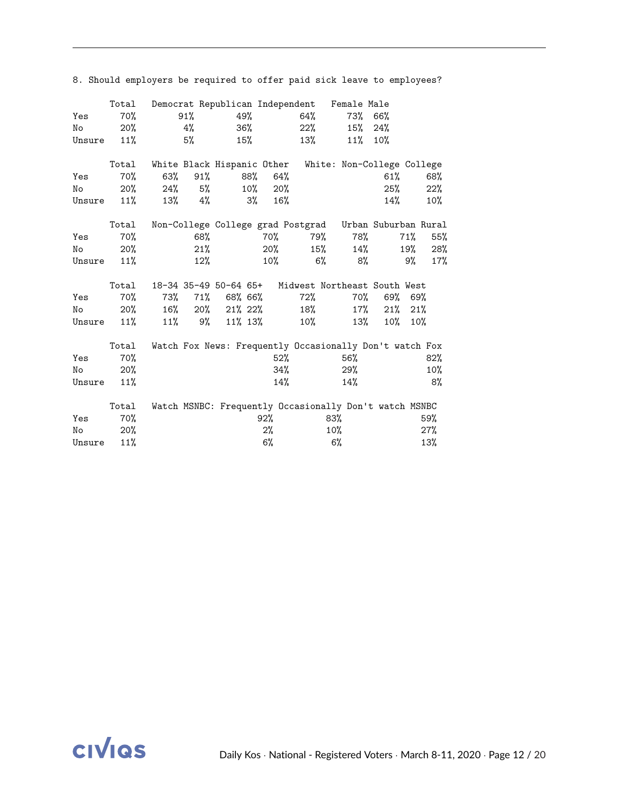|        | Total |        |     |                       |        |        | Democrat Republican Independent                         |        | Female Male |        |     |        |
|--------|-------|--------|-----|-----------------------|--------|--------|---------------------------------------------------------|--------|-------------|--------|-----|--------|
| Yes    | 70%   |        | 91% |                       | 49%    |        | 64%                                                     |        | 73% 66%     |        |     |        |
| No     | 20%   |        | 4%  |                       | 36%    |        | 22%                                                     |        | $15\%$      | 24%    |     |        |
| Unsure | 11%   |        | 5%  |                       | 15%    |        | 13%                                                     |        | 11%         | 10%    |     |        |
|        | Total |        |     |                       |        |        | White Black Hispanic Other White: Non-College College   |        |             |        |     |        |
| Yes    | 70%   | 63%    | 91% |                       | 88%    | 64%    |                                                         |        |             | 61%    |     | 68%    |
| No     | 20%   | 24%    | 5%  |                       | $10\%$ | 20%    |                                                         |        |             | 25%    |     | 22%    |
| Unsure | 11%   | 13%    | 4%  |                       | 3%     | 16%    |                                                         |        |             | 14%    |     | $10\%$ |
|        | Total |        |     |                       |        |        | Non-College College grad Postgrad Urban Suburban Rural  |        |             |        |     |        |
| Yes    | 70%   |        | 68% |                       |        | 70%    |                                                         | 79%    | 78%         |        | 71% | 55%    |
| No     | 20%   |        | 21% |                       |        | $20\%$ |                                                         | 15%    | 14%         |        | 19% | 28%    |
| Unsure | 11%   |        | 12% |                       |        | $10\%$ |                                                         | 6%     | 8%          |        | 9%  | 17%    |
|        | Total |        |     | 18-34 35-49 50-64 65+ |        |        | Midwest Northeast South West                            |        |             |        |     |        |
| Yes    | 70%   | 73%    | 71% | 68% 66%               |        |        | 72%                                                     |        | 70%         | 69%    |     | 69%    |
| No     | 20%   | $16\%$ |     | $20\%$ 21\% 22\%      |        |        | 18%                                                     |        | $17\%$      | 21%    |     | 21%    |
|        |       |        |     |                       |        |        |                                                         |        |             |        |     |        |
| Unsure | 11%   | 11%    |     | $9\%$ 11% 13%         |        |        | 10%                                                     |        | 13%         | $10\%$ |     | 10%    |
|        | Total |        |     |                       |        |        | Watch Fox News: Frequently Occasionally Don't watch Fox |        |             |        |     |        |
| Yes    | 70%   |        |     |                       |        | $52\%$ |                                                         |        | 56%         |        |     | 82%    |
| No     | 20%   |        |     |                       |        | 34%    |                                                         |        | 29%         |        |     | 10%    |
| Unsure | 11%   |        |     |                       |        | $14\%$ |                                                         |        | 14%         |        |     | 8%     |
|        | Total |        |     |                       |        |        | Watch MSNBC: Frequently Occasionally Don't watch MSNBC  |        |             |        |     |        |
| Yes    | 70%   |        |     |                       |        | 92%    |                                                         | 83%    |             |        |     | 59%    |
| No     | 20%   |        |     |                       |        | $2\%$  |                                                         | $10\%$ |             |        |     | 27%    |
| Unsure | 11%   |        |     |                       |        | $6\%$  |                                                         | 6%     |             |        |     | 13%    |

8. Should employers be required to offer paid sick leave to employees?

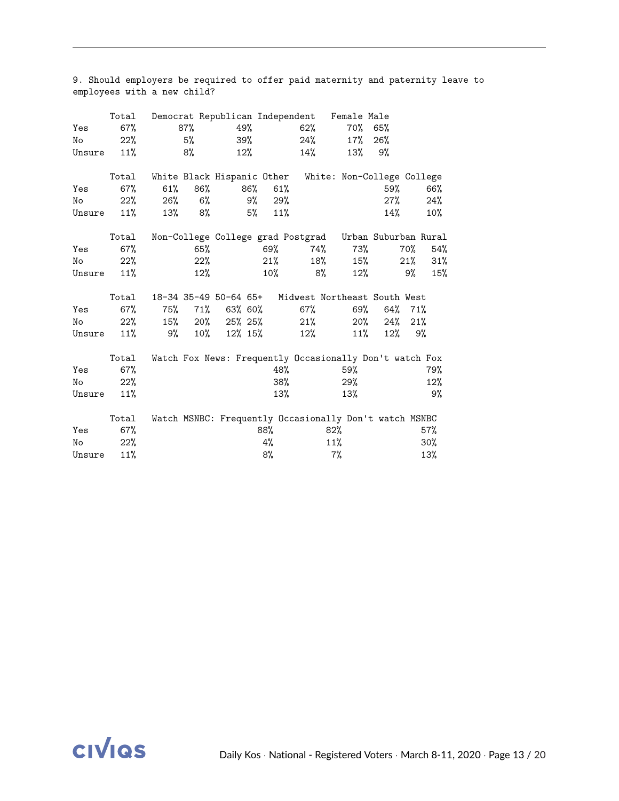| Yes    | Total<br>67% |                            | 87%    | 49%             |     |        | Democrat Republican Independent<br>62%                  | Female Male<br>70% 65% |        |     |     |
|--------|--------------|----------------------------|--------|-----------------|-----|--------|---------------------------------------------------------|------------------------|--------|-----|-----|
| No     | 22%          |                            | 5%     |                 | 39% |        | $24\%$                                                  | $17\%$                 | 26%    |     |     |
| Unsure | 11%          |                            | 8%     |                 | 12% |        | 14%                                                     | 13%                    | 9%     |     |     |
|        | Total        | White Black Hispanic Other |        |                 |     |        | White: Non-College College                              |                        |        |     |     |
| Yes    | 67%          | $61\%$                     | 86%    |                 | 86% | 61%    |                                                         |                        | 59%    |     | 66% |
| No     | 22%          | 26%                        | 6%     |                 | 9%  | 29%    |                                                         |                        | 27%    |     | 24% |
| Unsure | 11%          | 13%                        | 8%     |                 | 5%  | 11%    |                                                         |                        | 14%    |     | 10% |
|        | Total        |                            |        |                 |     |        | Non-College College grad Postgrad Urban Suburban Rural  |                        |        |     |     |
| Yes    | 67%          |                            | 65%    |                 |     | 69%    | 74%                                                     | 73%                    |        | 70% | 54% |
| No     | 22%          |                            | 22%    |                 |     | 21%    | 18%                                                     | 15%                    |        | 21% | 31% |
| Unsure | 11%          |                            | $12\%$ |                 |     | $10\%$ | 8%                                                      | $12\%$                 |        | 9%  | 15% |
|        | Total        |                            |        |                 |     |        | 18-34 35-49 50-64 65+ Midwest Northeast South West      |                        |        |     |     |
| Yes    | 67%          | 75%                        | 71%    | 63% 60%         |     |        | $67\%$                                                  | 69%                    | 64%    | 71% |     |
| No     | 22%          |                            |        | 15% 20% 25% 25% |     |        | 21%                                                     | $20\%$                 | 24%    | 21% |     |
| Unsure | 11%          | 9%                         | $10\%$ | 12% 15%         |     |        | 12%                                                     | 11%                    | $12\%$ |     | 9%  |
|        | Total        |                            |        |                 |     |        | Watch Fox News: Frequently Occasionally Don't watch Fox |                        |        |     |     |
| Yes    | 67%          |                            |        |                 |     | 48%    |                                                         | 59%                    |        |     | 79% |
| No     | 22%          |                            |        |                 |     | 38%    |                                                         | 29%                    |        |     | 12% |
| Unsure | 11%          |                            |        |                 |     | 13%    |                                                         | 13%                    |        |     | 9%  |
|        | Total        |                            |        |                 |     |        | Watch MSNBC: Frequently Occasionally Don't watch MSNBC  |                        |        |     |     |
| Yes    | 67%          |                            |        |                 |     | 88%    | 82%                                                     |                        |        |     | 57% |
| No     | 22%          |                            |        |                 |     | 4%     | 11%                                                     |                        |        |     | 30% |
| Unsure | 11%          |                            |        |                 |     | 8%     |                                                         | $7\%$                  |        |     | 13% |

9. Should employers be required to offer paid maternity and paternity leave to employees with a new child?

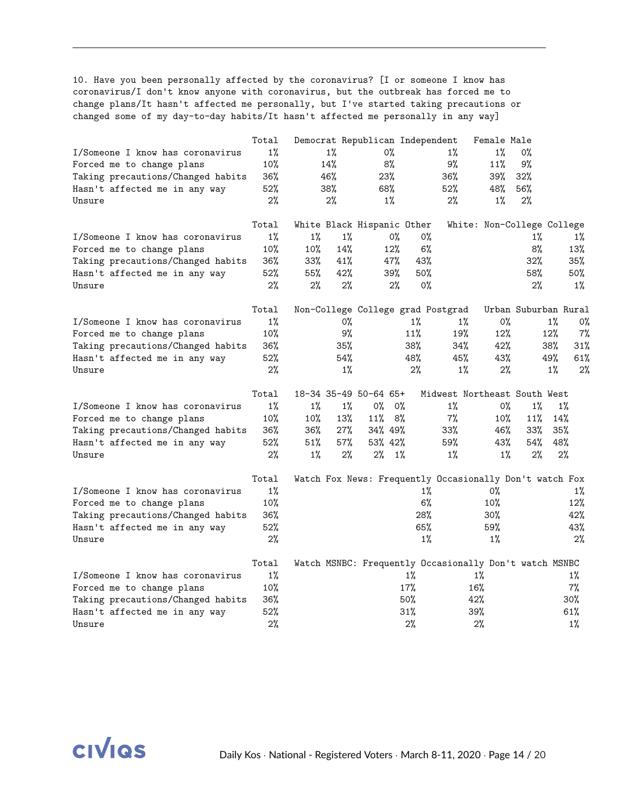10. Have you been personally affected by the coronavirus? [I or someone I know has coronavirus/I don't know anyone with coronavirus, but the outbreak has forced me to change plans/It hasn't affected me personally, but I've started taking precautions or changed some of my day-to-day habits/It hasn't affected me personally in any way]

|                                   | Total  |       |       | Democrat Republican Independent |             |                                                         | Female Male                |                      |       |       |
|-----------------------------------|--------|-------|-------|---------------------------------|-------------|---------------------------------------------------------|----------------------------|----------------------|-------|-------|
| I/Someone I know has coronavirus  | $1\%$  |       | $1\%$ | 0%                              |             | 1%                                                      | $1\%$                      | 0%                   |       |       |
| Forced me to change plans         | 10%    | 14%   |       | 8%                              |             | 9%                                                      | 11%                        | 9%                   |       |       |
| Taking precautions/Changed habits | 36%    | 46%   |       | 23%                             |             | 36%                                                     | 39%                        | 32%                  |       |       |
| Hasn't affected me in any way     | 52%    | 38%   |       | 68%                             |             | 52%                                                     | 48%                        | 56%                  |       |       |
| Unsure                            | 2%     |       | 2%    | $1\%$                           |             | 2%                                                      | $1\%$                      | 2%                   |       |       |
|                                   | Total  |       |       | White Black Hispanic Other      |             |                                                         | White: Non-College College |                      |       |       |
| I/Someone I know has coronavirus  | $1\%$  | $1\%$ | $1\%$ |                                 | 0%<br>0%    |                                                         |                            | $1\%$                |       | $1\%$ |
| Forced me to change plans         | 10%    | 10%   | 14%   | 12%                             | 6%          |                                                         |                            | 8%                   |       | 13%   |
| Taking precautions/Changed habits | 36%    | 33%   | 41%   | 47%                             | 43%         |                                                         |                            | 32%                  |       | 35%   |
| Hasn't affected me in any way     | 52%    | 55%   | 42%   | 39%                             | 50%         |                                                         |                            | 58%                  |       | 50%   |
| Unsure                            | 2%     | 2%    | 2%    |                                 | 2%<br>$0\%$ |                                                         |                            | 2%                   |       | $1\%$ |
|                                   | Total  |       |       |                                 |             | Non-College College grad Postgrad                       |                            | Urban Suburban Rural |       |       |
| I/Someone I know has coronavirus  | $1\%$  |       | 0%    |                                 | $1\%$       | $1\%$                                                   | 0%                         |                      | 1%    | 0%    |
| Forced me to change plans         | 10%    |       | 9%    |                                 | 11%         | 19%                                                     | 12%                        |                      | 12%   | 7%    |
| Taking precautions/Changed habits | $36\%$ |       | 35%   |                                 | 38%         | 34%                                                     | 42%                        |                      | 38%   | 31%   |
| Hasn't affected me in any way     | 52%    |       | 54%   |                                 | 48%         | 45%                                                     | 43%                        |                      | 49%   | 61%   |
| Unsure                            | 2%     |       | $1\%$ |                                 | 2%          | $1\%$                                                   | $2\%$                      |                      | $1\%$ | 2%    |
|                                   | Total  |       |       | 18-34 35-49 50-64 65+           |             | Midwest Northeast South West                            |                            |                      |       |       |
| I/Someone I know has coronavirus  | $1\%$  | $1\%$ | $1\%$ | $0\%$                           | 0%          | $1\%$                                                   | $0\%$                      | $1\%$                | 1%    |       |
| Forced me to change plans         | 10%    | 10%   | 13%   | 11%                             | 8%          | 7%                                                      | 10%                        | 11%                  | 14%   |       |
| Taking precautions/Changed habits | 36%    | 36%   | 27%   | 34% 49%                         |             | 33%                                                     | 46%                        | 33%                  | 35%   |       |
| Hasn't affected me in any way     | 52%    | 51%   | 57%   | 53% 42%                         |             | 59%                                                     | 43%                        | 54%                  | 48%   |       |
| Unsure                            | 2%     | $1\%$ | $2\%$ | $2\%$                           | $1\%$       | $1\%$                                                   | $1\%$                      | 2%                   | 2%    |       |
|                                   | Total  |       |       |                                 |             | Watch Fox News: Frequently Occasionally Don't watch Fox |                            |                      |       |       |
| I/Someone I know has coronavirus  | 1%     |       |       |                                 | $1\%$       |                                                         | 0%                         |                      |       | $1\%$ |
| Forced me to change plans         | 10%    |       |       |                                 | 6%          |                                                         | 10%                        |                      |       | 12%   |
| Taking precautions/Changed habits | 36%    |       |       |                                 | 28%         |                                                         | 30%                        |                      |       | 42%   |
| Hasn't affected me in any way     | 52%    |       |       |                                 | 65%         |                                                         | 59%                        |                      |       | 43%   |
| Unsure                            | 2%     |       |       |                                 | 1%          |                                                         | 1%                         |                      |       | 2%    |
|                                   | Total  |       |       |                                 |             | Watch MSNBC: Frequently Occasionally Don't watch MSNBC  |                            |                      |       |       |
| I/Someone I know has coronavirus  | $1\%$  |       |       |                                 | $1\%$       |                                                         | $1\%$                      |                      |       | $1\%$ |
| Forced me to change plans         | 10%    |       |       |                                 | 17%         |                                                         | 16%                        |                      |       | $7\%$ |
| Taking precautions/Changed habits | 36%    |       |       |                                 | 50%         |                                                         | 42%                        |                      |       | 30%   |
| Hasn't affected me in any way     | 52%    |       |       |                                 | 31%         |                                                         | 39%                        |                      |       | 61%   |
| Unsure                            | 2%     |       |       |                                 | 2%          |                                                         | 2%                         |                      |       | $1\%$ |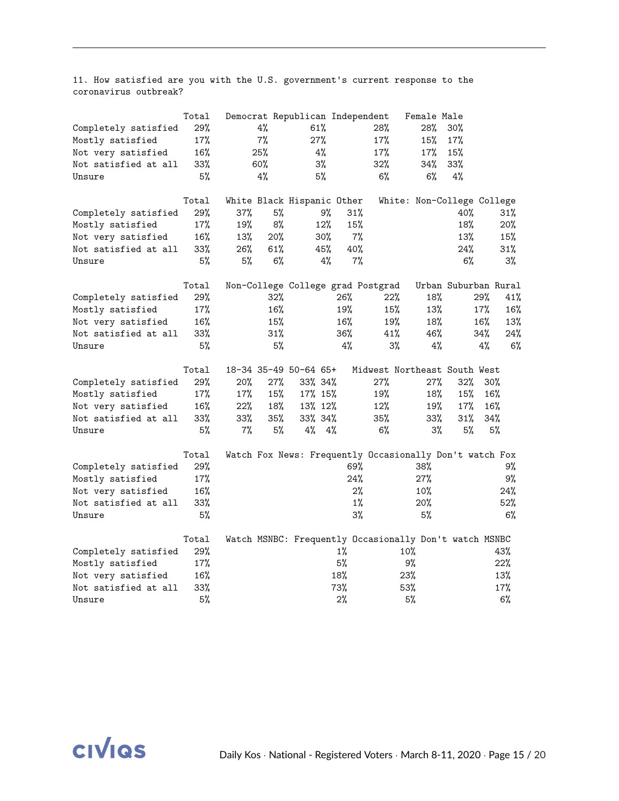11. How satisfied are you with the U.S. government's current response to the coronavirus outbreak?

|                      | Total  |     |     | Democrat Republican Independent   |        |       | Female Male                                             |                      |          |
|----------------------|--------|-----|-----|-----------------------------------|--------|-------|---------------------------------------------------------|----------------------|----------|
| Completely satisfied | 29%    |     | 4%  | 61%                               |        | 28%   | 28%                                                     | 30%                  |          |
| Mostly satisfied     | 17%    |     | 7%  | 27%                               |        | 17%   | 15%                                                     | 17%                  |          |
| Not very satisfied   | 16%    |     | 25% | 4%                                |        | 17%   | 17%                                                     | 15%                  |          |
| Not satisfied at all | 33%    |     | 60% | $3\%$                             |        | 32%   | 34%                                                     | 33%                  |          |
| Unsure               | 5%     |     | 4%  | 5%                                |        | 6%    | 6%                                                      | 4%                   |          |
|                      | Total  |     |     | White Black Hispanic Other        |        |       | White: Non-College College                              |                      |          |
| Completely satisfied | 29%    | 37% | 5%  |                                   | 9%     | 31%   |                                                         | 40%                  | 31%      |
| Mostly satisfied     | 17%    | 19% | 8%  | 12%                               |        | 15%   |                                                         | 18%                  | 20%      |
| Not very satisfied   | 16%    | 13% | 20% | 30%                               |        | 7%    |                                                         | 13%                  | 15%      |
| Not satisfied at all | 33%    | 26% | 61% | 45%                               |        | 40%   |                                                         | 24%                  | 31%      |
| Unsure               | 5%     | 5%  | 6%  |                                   | 4%     | $7\%$ |                                                         | 6%                   | $3\%$    |
|                      | Total  |     |     | Non-College College grad Postgrad |        |       |                                                         | Urban Suburban Rural |          |
| Completely satisfied | 29%    |     | 32% |                                   | 26%    | 22%   | 18%                                                     | 29%                  | 41%      |
| Mostly satisfied     | 17%    |     | 16% |                                   | 19%    | 15%   | 13%                                                     | 17%                  | 16%      |
| Not very satisfied   | 16%    |     | 15% |                                   | 16%    | 19%   | 18%                                                     | 16%                  | 13%      |
| Not satisfied at all | $33\%$ |     | 31% |                                   | $36\%$ | 41%   | 46%                                                     | 34%                  | 24%      |
| Unsure               | 5%     |     | 5%  |                                   | 4%     |       | 3%<br>4%                                                |                      | 4%<br>6% |
|                      | Total  |     |     | 18-34 35-49 50-64 65+             |        |       | Midwest Northeast South West                            |                      |          |
| Completely satisfied | 29%    | 20% | 27% | 33% 34%                           |        | 27%   | 27%                                                     | 32%                  | $30\%$   |
| Mostly satisfied     | 17%    | 17% | 15% | 17% 15%                           |        | 19%   | 18%                                                     | 15%                  | 16%      |
| Not very satisfied   | $16\%$ | 22% | 18% | 13% 12%                           |        | 12%   | 19%                                                     | 17%                  | $16\%$   |
| Not satisfied at all | 33%    | 33% | 35% | 33% 34%                           |        | 35%   | $33\%$                                                  | 31%                  | 34%      |
| Unsure               | 5%     | 7%  | 5%  | 4%                                | 4%     | 6%    | $3\%$                                                   | 5%                   | 5%       |
|                      | Total  |     |     |                                   |        |       | Watch Fox News: Frequently Occasionally Don't watch Fox |                      |          |
| Completely satisfied | 29%    |     |     |                                   |        | 69%   | 38%                                                     |                      | 9%       |
| Mostly satisfied     | 17%    |     |     |                                   |        | 24%   | 27%                                                     |                      | 9%       |
| Not very satisfied   | 16%    |     |     |                                   |        | 2%    | $10\%$                                                  |                      | 24%      |
| Not satisfied at all | 33%    |     |     |                                   |        | $1\%$ | 20%                                                     |                      | 52%      |
| Unsure               | 5%     |     |     |                                   |        | 3%    | 5%                                                      |                      | 6%       |
|                      | Total  |     |     |                                   |        |       | Watch MSNBC: Frequently Occasionally Don't watch MSNBC  |                      |          |
| Completely satisfied | 29%    |     |     |                                   | $1\%$  |       | 10%                                                     |                      | 43%      |
| Mostly satisfied     | 17%    |     |     |                                   | 5%     |       | 9%                                                      |                      | 22%      |
| Not very satisfied   | 16%    |     |     |                                   | 18%    |       | 23%                                                     |                      | 13%      |
| Not satisfied at all | 33%    |     |     |                                   | 73%    |       | 53%                                                     |                      | 17%      |
| Unsure               | 5%     |     |     |                                   | 2%     |       | 5%                                                      |                      | 6%       |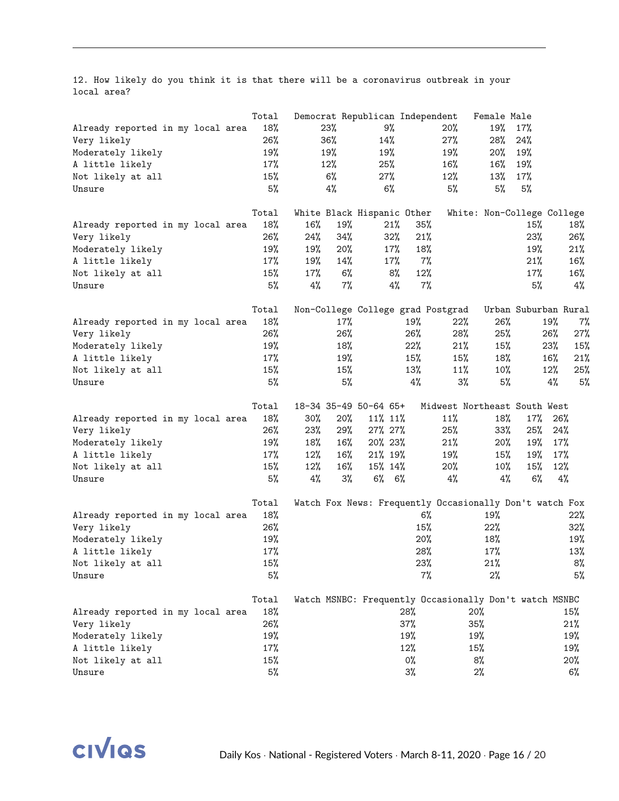12. How likely do you think it is that there will be a coronavirus outbreak in your local area?

|                                   | Total | Democrat Republican Independent                         |       |             |       |                              | Female Male                |                      |     |       |
|-----------------------------------|-------|---------------------------------------------------------|-------|-------------|-------|------------------------------|----------------------------|----------------------|-----|-------|
| Already reported in my local area | 18%   | 23%                                                     |       | 9%          |       | 20%                          | 19%                        | 17%                  |     |       |
| Very likely                       | 26%   | 36%                                                     |       | 14%         |       | 27%                          | 28%                        | 24%                  |     |       |
| Moderately likely                 | 19%   | 19%                                                     |       | 19%         |       | 19%                          | 20%                        | 19%                  |     |       |
| A little likely                   | 17%   | 12%                                                     |       | 25%         |       | 16%                          | 16%                        | 19%                  |     |       |
| Not likely at all                 | 15%   | 6%                                                      |       | 27%         |       | 12%                          | 13%                        | 17%                  |     |       |
| Unsure                            | 5%    | 4%                                                      |       | 6%          |       | 5%                           | 5%                         | 5%                   |     |       |
|                                   | Total | White Black Hispanic Other                              |       |             |       |                              | White: Non-College College |                      |     |       |
| Already reported in my local area | 18%   | 16%                                                     | 19%   | 21%         | 35%   |                              |                            | 15%                  |     | 18%   |
| Very likely                       | 26%   | 24%                                                     | 34%   | 32%         | 21%   |                              |                            | 23%                  |     | 26%   |
| Moderately likely                 | 19%   | 19%                                                     | 20%   | 17%         | 18%   |                              |                            | 19%                  |     | 21%   |
| A little likely                   | 17%   | 19%                                                     | 14%   | 17%         | $7\%$ |                              |                            | 21%                  |     | 16%   |
| Not likely at all                 | 15%   | 17%                                                     | 6%    | 8%          | 12%   |                              |                            | 17%                  |     | 16%   |
| Unsure                            | 5%    | 4%                                                      | $7\%$ | 4%          | 7%    |                              |                            | 5%                   |     | $4\%$ |
|                                   | Total | Non-College College grad Postgrad                       |       |             |       |                              |                            | Urban Suburban Rural |     |       |
| Already reported in my local area | 18%   |                                                         | 17%   |             | 19%   | 22%                          | 26%                        |                      | 19% | 7%    |
| Very likely                       | 26%   |                                                         | 26%   |             | 26%   | 28%                          | 25%                        |                      | 26% | 27%   |
| Moderately likely                 | 19%   |                                                         | 18%   |             | 22%   | 21%                          | 15%                        |                      | 23% | 15%   |
| A little likely                   | 17%   |                                                         | 19%   |             | 15%   | 15%                          | 18%                        |                      | 16% | 21%   |
| Not likely at all                 | 15%   |                                                         | 15%   |             | 13%   | 11%                          | 10%                        |                      | 12% | 25%   |
| Unsure                            | 5%    |                                                         | 5%    |             | $4\%$ | $3\%$                        | 5%                         |                      | 4%  | 5%    |
|                                   | Total | 18-34 35-49 50-64 65+                                   |       |             |       | Midwest Northeast South West |                            |                      |     |       |
| Already reported in my local area | 18%   | 30%                                                     | 20%   | 11% 11%     |       | 11%                          | 18%                        | 17%                  | 26% |       |
| Very likely                       | 26%   | 23%                                                     | 29%   | 27% 27%     |       | 25%                          | 33%                        | 25%                  | 24% |       |
| Moderately likely                 | 19%   | 18%                                                     | 16%   | 20% 23%     |       | 21%                          | $20\%$                     | 19%                  | 17% |       |
| A little likely                   | 17%   | 12%                                                     | 16%   | 21% 19%     |       | 19%                          | 15%                        | 19%                  | 17% |       |
| Not likely at all                 | 15%   | 12%                                                     | 16%   | 15% 14%     |       | 20%                          | $10\%$                     | 15%                  | 12% |       |
| Unsure                            | 5%    | 4%                                                      | 3%    | $6\%$ $6\%$ |       | $4\%$                        | 4%                         | $6\%$                | 4%  |       |
|                                   | Total | Watch Fox News: Frequently Occasionally Don't watch Fox |       |             |       |                              |                            |                      |     |       |
| Already reported in my local area | 18%   |                                                         |       |             | 6%    |                              | 19%                        |                      |     | 22%   |
| Very likely                       | 26%   |                                                         |       |             | 15%   |                              | 22%                        |                      |     | 32%   |
| Moderately likely                 | 19%   |                                                         |       |             | 20%   |                              | 18%                        |                      |     | 19%   |
| A little likely                   | 17%   |                                                         |       |             | 28%   |                              | 17%                        |                      |     | 13%   |
| Not likely at all                 | 15%   |                                                         |       |             | 23%   |                              | 21%                        |                      |     | 8%    |
| Unsure                            | 5%    |                                                         |       |             | 7%    |                              | $2\%$                      |                      |     | 5%    |
|                                   | Total | Watch MSNBC: Frequently Occasionally Don't watch MSNBC  |       |             |       |                              |                            |                      |     |       |
| Already reported in my local area | 18%   |                                                         |       |             | 28%   |                              | 20%                        |                      |     | 15%   |
| Very likely                       | 26%   |                                                         |       |             | 37%   |                              | 35%                        |                      |     | 21%   |
| Moderately likely                 | 19%   |                                                         |       |             | 19%   |                              | 19%                        |                      |     | 19%   |
| A little likely                   | 17%   |                                                         |       |             | 12%   |                              | 15%                        |                      |     | 19%   |
| Not likely at all                 | 15%   |                                                         |       |             | 0%    |                              | 8%                         |                      |     | 20%   |
| Unsure                            | 5%    |                                                         |       |             | 3%    |                              | $2\%$                      |                      |     | 6%    |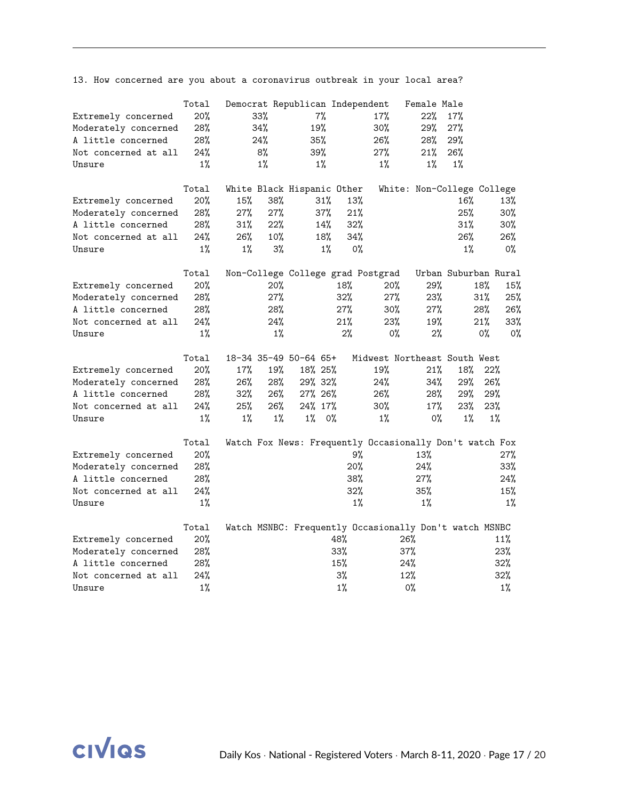|                      | Total |       |       | Democrat Republican Independent |       |       |                                                         | Female Male |                            |        |       |
|----------------------|-------|-------|-------|---------------------------------|-------|-------|---------------------------------------------------------|-------------|----------------------------|--------|-------|
| Extremely concerned  | 20%   |       | 33%   |                                 | $7\%$ |       | 17%                                                     | 22%         | 17%                        |        |       |
| Moderately concerned | 28%   |       | 34%   | 19%                             |       |       | 30%                                                     | 29%         | 27%                        |        |       |
| A little concerned   | 28%   | 24%   |       | 35%                             |       |       | 26%                                                     | 28%         | 29%                        |        |       |
| Not concerned at all | 24%   |       | 8%    | 39%                             |       |       | 27%                                                     | 21%         | 26%                        |        |       |
| Unsure               | $1\%$ |       | $1\%$ |                                 | $1\%$ |       | $1\%$                                                   | $1\%$       | $1\%$                      |        |       |
|                      |       |       |       |                                 |       |       |                                                         |             |                            |        |       |
|                      | Total |       |       | White Black Hispanic Other      |       |       |                                                         |             | White: Non-College College |        |       |
| Extremely concerned  | 20%   | 15%   | 38%   |                                 | 31%   | 13%   |                                                         |             | 16%                        |        | 13%   |
| Moderately concerned | 28%   | 27%   | 27%   |                                 | 37%   | 21%   |                                                         |             | 25%                        |        | 30%   |
| A little concerned   | 28%   | 31%   | 22%   |                                 | 14%   | 32%   |                                                         |             | 31%                        |        | 30%   |
| Not concerned at all | 24%   | 26%   | 10%   |                                 | 18%   | 34%   |                                                         |             | 26%                        |        | 26%   |
| Unsure               | $1\%$ | $1\%$ | $3\%$ |                                 | 1%    | $0\%$ |                                                         |             | $1\%$                      |        | 0%    |
|                      | Total |       |       |                                 |       |       | Non-College College grad Postgrad                       |             | Urban Suburban Rural       |        |       |
| Extremely concerned  | 20%   |       | 20%   |                                 |       | 18%   | $20\%$                                                  | 29%         |                            | 18%    | 15%   |
| Moderately concerned | 28%   |       | 27%   |                                 |       | 32%   | 27%                                                     | 23%         |                            | $31\%$ | 25%   |
| A little concerned   | 28%   |       | 28%   |                                 |       | 27%   | 30%                                                     | 27%         |                            | $28\%$ | 26%   |
| Not concerned at all | 24%   |       | 24%   |                                 |       | 21%   | 23%                                                     | 19%         |                            | 21%    | 33%   |
| Unsure               | $1\%$ |       | $1\%$ |                                 |       | 2%    | 0%                                                      | 2%          |                            | 0%     | 0%    |
|                      |       |       |       |                                 |       |       |                                                         |             |                            |        |       |
|                      | Total |       |       | 18-34 35-49 50-64 65+           |       |       | Midwest Northeast South West                            |             |                            |        |       |
| Extremely concerned  | 20%   | 17%   | 19%   | 18% 25%                         |       |       | 19%                                                     | 21%         | 18%                        | 22%    |       |
| Moderately concerned | 28%   | 26%   | 28%   | 29% 32%                         |       |       | 24%                                                     | 34%         | 29%                        | 26%    |       |
| A little concerned   | 28%   | 32%   | 26%   | 27% 26%                         |       |       | 26%                                                     | 28%         | 29%                        | 29%    |       |
| Not concerned at all | 24%   | 25%   | 26%   | 24% 17%                         |       |       | 30%                                                     | 17%         | 23%                        | 23%    |       |
| Unsure               | $1\%$ | $1\%$ | $1\%$ | $1\%$                           | 0%    |       | $1\%$                                                   | $0\%$       | $1\%$                      |        | $1\%$ |
|                      | Total |       |       |                                 |       |       | Watch Fox News: Frequently Occasionally Don't watch Fox |             |                            |        |       |
| Extremely concerned  | 20%   |       |       |                                 |       | 9%    |                                                         | 13%         |                            |        | 27%   |
| Moderately concerned | 28%   |       |       |                                 |       | 20%   |                                                         | 24%         |                            |        | 33%   |
| A little concerned   | 28%   |       |       |                                 |       | 38%   |                                                         | 27%         |                            |        | 24%   |
| Not concerned at all | 24%   |       |       |                                 |       | 32%   |                                                         | 35%         |                            |        | 15%   |
| Unsure               | $1\%$ |       |       |                                 |       | $1\%$ |                                                         | $1\%$       |                            |        | $1\%$ |
|                      |       |       |       |                                 |       |       |                                                         |             |                            |        |       |
|                      | Total |       |       |                                 |       |       | Watch MSNBC: Frequently Occasionally Don't watch MSNBC  |             |                            |        |       |
| Extremely concerned  | 20%   |       |       |                                 |       | 48%   |                                                         | 26%         |                            |        | 11%   |
| Moderately concerned | 28%   |       |       |                                 |       | 33%   |                                                         | 37%         |                            |        | 23%   |
| A little concerned   | 28%   |       |       |                                 |       | 15%   |                                                         | 24%         |                            |        | 32%   |
| Not concerned at all | 24%   |       |       |                                 |       | 3%    |                                                         | 12%         |                            |        | 32%   |
| Unsure               | $1\%$ |       |       |                                 |       | $1\%$ |                                                         | $0\%$       |                            |        | $1\%$ |

13. How concerned are you about a coronavirus outbreak in your local area?

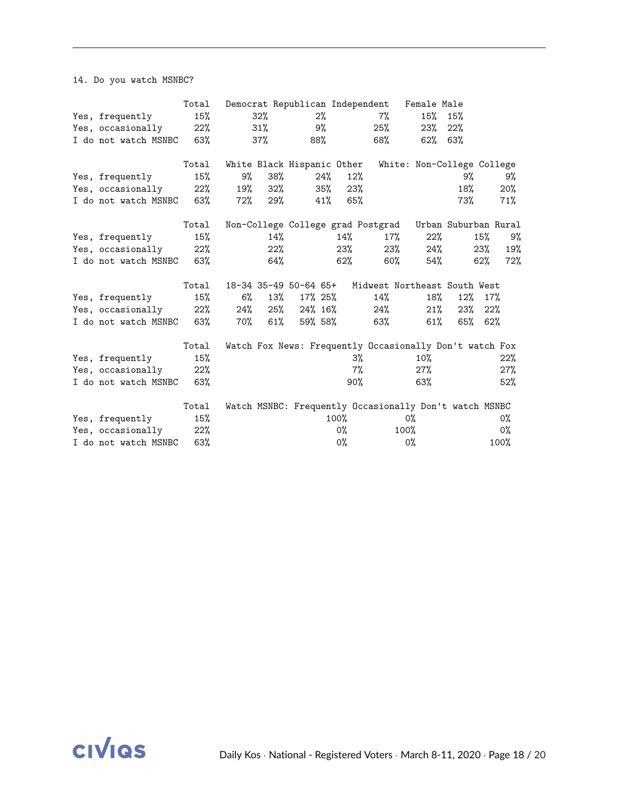14. Do you watch MSNBC?

|                          | Total  |     |        |                            |     |       | Democrat Republican Independent Female Male             |        |                            |     |       |
|--------------------------|--------|-----|--------|----------------------------|-----|-------|---------------------------------------------------------|--------|----------------------------|-----|-------|
| Yes, frequently          | 15%    |     | 32%    |                            | 2%  |       | $7\%$                                                   | 15%    | 15%                        |     |       |
| Yes, occasionally        | 22%    |     | 31%    |                            | 9%  |       | 25%                                                     | 23%    | 22%                        |     |       |
| I do not watch MSNBC 63% |        |     | 37%    |                            | 88% |       | 68%                                                     | 62%    | 63%                        |     |       |
|                          | Total  |     |        | White Black Hispanic Other |     |       |                                                         |        | White: Non-College College |     |       |
| Yes, frequently          | 15%    | 9%  | 38%    |                            | 24% | 12%   |                                                         |        | 9%                         |     | 9%    |
| Yes, occasionally        | $22\%$ | 19% | $32\%$ |                            | 35% | 23%   |                                                         |        | 18%                        |     | 20%   |
| I do not watch MSNBC 63% |        | 72% | 29%    |                            | 41% | 65%   |                                                         |        | 73%                        |     | 71%   |
|                          | Total  |     |        |                            |     |       | Non-College College grad Postgrad                       |        | Urban Suburban Rural       |     |       |
| Yes, frequently          | 15%    |     | 14%    |                            |     | 14%   | $17\%$                                                  | 22%    |                            | 15% | 9%    |
| Yes, occasionally        | $22\%$ |     | 22%    |                            |     | 23%   | $23\%$                                                  | 24%    |                            | 23% | 19%   |
| I do not watch MSNBC 63% |        |     | 64%    |                            |     | 62%   | $60\%$                                                  |        | 54%                        | 62% | 72%   |
|                          | Total  |     |        | 18-34 35-49 50-64 65+      |     |       | Midwest Northeast South West                            |        |                            |     |       |
| Yes, frequently          | 15%    | 6%  | 13%    | 17% 25%                    |     |       | 14%                                                     | 18%    | 12%                        | 17% |       |
| Yes, occasionally        | $22\%$ | 24% | 25%    | 24% 16%                    |     |       | 24%                                                     | 21%    | 23%                        | 22% |       |
| I do not watch MSNBC 63% |        | 70% | 61%    | 59% 58%                    |     |       | 63%                                                     | $61\%$ | 65%                        | 62% |       |
|                          | Total  |     |        |                            |     |       | Watch Fox News: Frequently Occasionally Don't watch Fox |        |                            |     |       |
| Yes, frequently          | 15%    |     |        |                            |     | 3%    |                                                         | 10%    |                            |     | 22%   |
| Yes, occasionally        | 22%    |     |        |                            |     | 7%    |                                                         | $27\%$ |                            |     | 27%   |
| I do not watch MSNBC     | 63%    |     |        |                            |     | 90%   |                                                         | 63%    |                            |     | 52%   |
|                          | Total  |     |        |                            |     |       | Watch MSNBC: Frequently Occasionally Don't watch MSNBC  |        |                            |     |       |
| Yes, frequently          | 15%    |     |        |                            |     | 100%  |                                                         | 0%     |                            |     | 0%    |
| Yes, occasionally        | 22%    |     |        |                            |     | 0%    |                                                         | 100%   |                            |     | $0\%$ |
| I do not watch MSNBC     | 63%    |     |        |                            |     | $0\%$ |                                                         | 0%     |                            |     | 100%  |

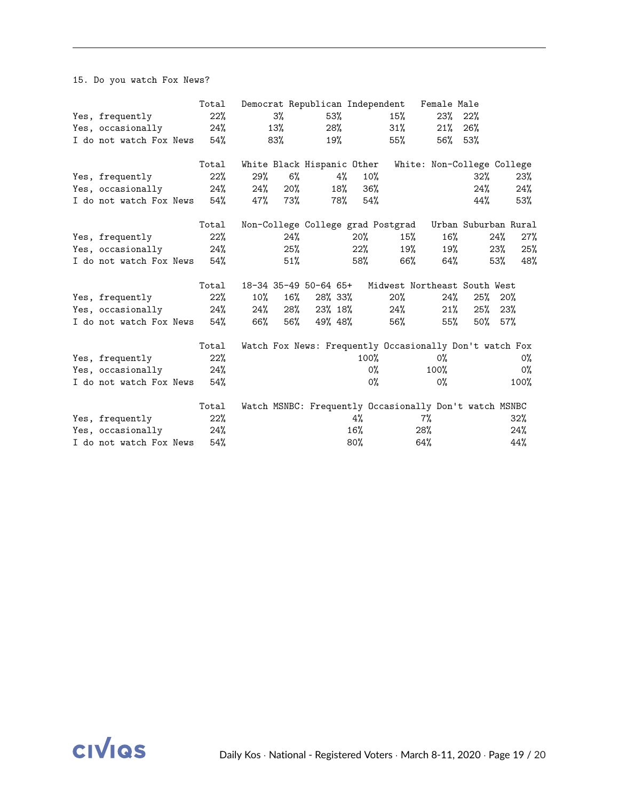15. Do you watch Fox News?

|                         | Total |     |        | Democrat Republican Independent |     |      |                                                         | Female Male                |                      |     |      |
|-------------------------|-------|-----|--------|---------------------------------|-----|------|---------------------------------------------------------|----------------------------|----------------------|-----|------|
| Yes, frequently         | 22%   |     | 3%     |                                 | 53% |      | 15%                                                     | 23%                        | 22%                  |     |      |
| Yes, occasionally       | 24%   |     | 13%    |                                 | 28% |      | 31%                                                     | 21%                        | 26%                  |     |      |
| I do not watch Fox News | 54%   |     | 83%    |                                 | 19% |      | 55%                                                     | 56%                        | 53%                  |     |      |
|                         | Total |     |        | White Black Hispanic Other      |     |      |                                                         | White: Non-College College |                      |     |      |
| Yes, frequently         | 22%   | 29% | 6%     |                                 | 4%  | 10%  |                                                         |                            | 32%                  |     | 23%  |
| Yes, occasionally       | 24%   | 24% | $20\%$ |                                 | 18% | 36%  |                                                         |                            | 24%                  |     | 24%  |
| I do not watch Fox News | 54%   | 47% | 73%    |                                 | 78% | 54%  |                                                         |                            | 44%                  |     | 53%  |
|                         | Total |     |        |                                 |     |      | Non-College College grad Postgrad                       |                            | Urban Suburban Rural |     |      |
| Yes, frequently         | 22%   |     | 24%    |                                 |     | 20%  | 15%                                                     | $16\%$                     |                      | 24% | 27%  |
| Yes, occasionally       | 24%   |     | 25%    |                                 |     | 22%  | 19%                                                     | 19%                        |                      | 23% | 25%  |
| I do not watch Fox News | 54%   |     | 51%    |                                 |     | 58%  | 66%                                                     | 64%                        |                      | 53% | 48%  |
|                         | Total |     |        | 18-34 35-49 50-64 65+           |     |      | Midwest Northeast South West                            |                            |                      |     |      |
| Yes, frequently         | 22%   | 10% | 16%    | 28% 33%                         |     |      | 20%                                                     | 24%                        | 25%                  | 20% |      |
| Yes, occasionally       | 24%   | 24% | 28%    | 23% 18%                         |     |      | 24%                                                     | 21%                        | $25\%$               | 23% |      |
| I do not watch Fox News | 54%   | 66% | 56%    | 49% 48%                         |     |      | 56%                                                     | 55%                        | $50\%$ 57%           |     |      |
|                         | Total |     |        |                                 |     |      | Watch Fox News: Frequently Occasionally Don't watch Fox |                            |                      |     |      |
| Yes, frequently         | 22%   |     |        |                                 |     | 100% |                                                         | 0%                         |                      |     | 0%   |
| Yes, occasionally       | 24%   |     |        |                                 |     | 0%   |                                                         | $100\%$                    |                      |     | 0%   |
| I do not watch Fox News | 54%   |     |        |                                 |     | 0%   |                                                         | 0%                         |                      |     | 100% |
|                         | Total |     |        |                                 |     |      | Watch MSNBC: Frequently Occasionally Don't watch MSNBC  |                            |                      |     |      |
| Yes, frequently         | 22%   |     |        |                                 |     | 4%   |                                                         | 7%                         |                      |     | 32%  |
| Yes, occasionally       | 24%   |     |        |                                 |     | 16%  |                                                         | 28%                        |                      |     | 24%  |
| I do not watch Fox News | 54%   |     |        |                                 |     | 80%  |                                                         | 64%                        |                      |     | 44%  |